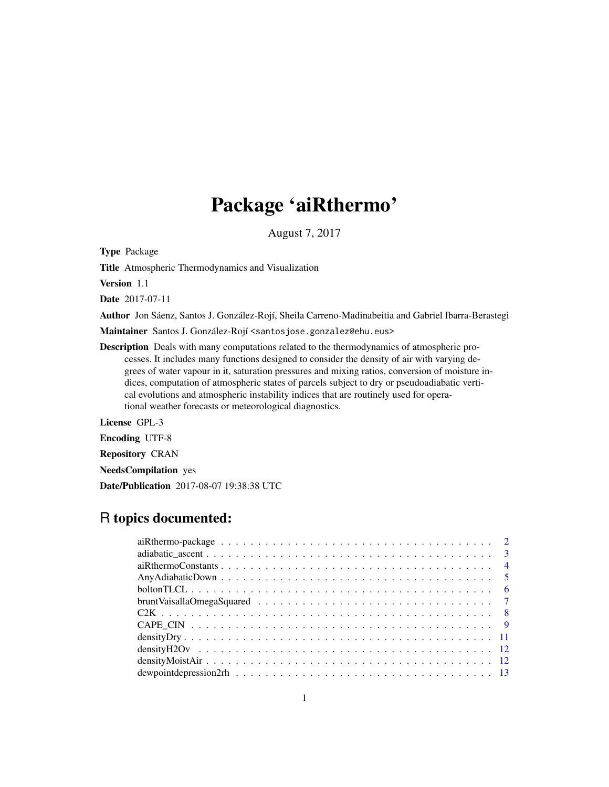# Package 'aiRthermo'

August 7, 2017

Type Package

Title Atmospheric Thermodynamics and Visualization

Version 1.1

Date 2017-07-11

Author Jon Sáenz, Santos J. González-Rojí, Sheila Carreno-Madinabeitia and Gabriel Ibarra-Berastegi

Maintainer Santos J. González-Rojí <santosjose.gonzalez@ehu.eus>

Description Deals with many computations related to the thermodynamics of atmospheric processes. It includes many functions designed to consider the density of air with varying degrees of water vapour in it, saturation pressures and mixing ratios, conversion of moisture indices, computation of atmospheric states of parcels subject to dry or pseudoadiabatic vertical evolutions and atmospheric instability indices that are routinely used for operational weather forecasts or meteorological diagnostics.

License GPL-3

Encoding UTF-8

Repository CRAN

NeedsCompilation yes

Date/Publication 2017-08-07 19:38:38 UTC

# R topics documented: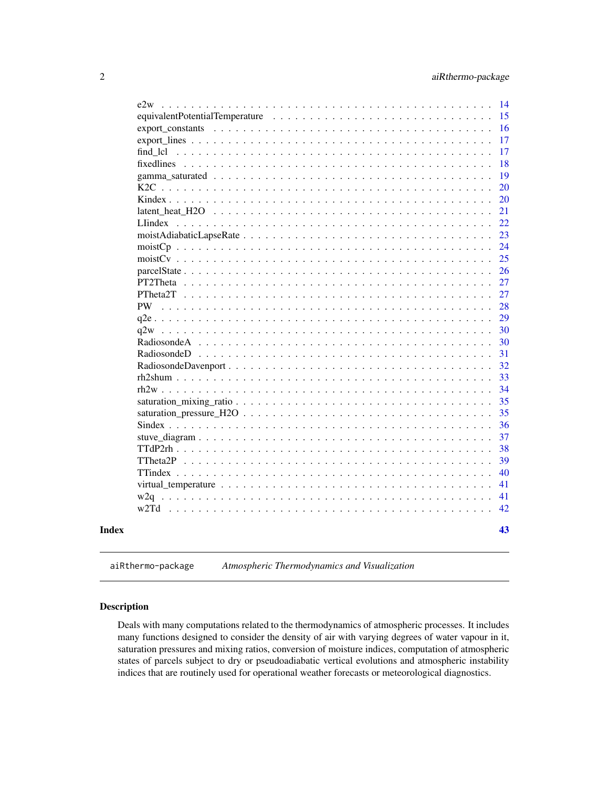<span id="page-1-0"></span>

| PW                                                                                                                    |  |  |  |  |  |  |  |  |  |  |
|-----------------------------------------------------------------------------------------------------------------------|--|--|--|--|--|--|--|--|--|--|
|                                                                                                                       |  |  |  |  |  |  |  |  |  |  |
| q2w                                                                                                                   |  |  |  |  |  |  |  |  |  |  |
|                                                                                                                       |  |  |  |  |  |  |  |  |  |  |
|                                                                                                                       |  |  |  |  |  |  |  |  |  |  |
|                                                                                                                       |  |  |  |  |  |  |  |  |  |  |
|                                                                                                                       |  |  |  |  |  |  |  |  |  |  |
|                                                                                                                       |  |  |  |  |  |  |  |  |  |  |
|                                                                                                                       |  |  |  |  |  |  |  |  |  |  |
|                                                                                                                       |  |  |  |  |  |  |  |  |  |  |
|                                                                                                                       |  |  |  |  |  |  |  |  |  |  |
|                                                                                                                       |  |  |  |  |  |  |  |  |  |  |
|                                                                                                                       |  |  |  |  |  |  |  |  |  |  |
|                                                                                                                       |  |  |  |  |  |  |  |  |  |  |
|                                                                                                                       |  |  |  |  |  |  |  |  |  |  |
| virtual_temperature $\dots \dots \dots \dots \dots \dots \dots \dots \dots \dots \dots \dots \dots \dots \dots \dots$ |  |  |  |  |  |  |  |  |  |  |
|                                                                                                                       |  |  |  |  |  |  |  |  |  |  |
| w2Td                                                                                                                  |  |  |  |  |  |  |  |  |  |  |
|                                                                                                                       |  |  |  |  |  |  |  |  |  |  |

aiRthermo-package *Atmospheric Thermodynamics and Visualization*

# Description

Deals with many computations related to the thermodynamics of atmospheric processes. It includes many functions designed to consider the density of air with varying degrees of water vapour in it, saturation pressures and mixing ratios, conversion of moisture indices, computation of atmospheric states of parcels subject to dry or pseudoadiabatic vertical evolutions and atmospheric instability indices that are routinely used for operational weather forecasts or meteorological diagnostics.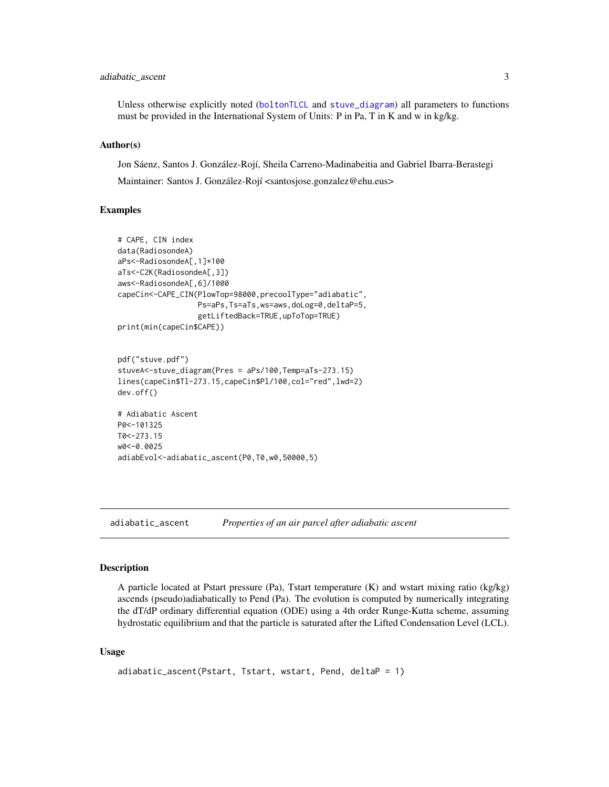# <span id="page-2-0"></span>adiabatic\_ascent 3

Unless otherwise explicitly noted ([boltonTLCL](#page-5-1) and [stuve\\_diagram](#page-36-1)) all parameters to functions must be provided in the International System of Units: P in Pa, T in K and w in kg/kg.

#### Author(s)

Jon Sáenz, Santos J. González-Rojí, Sheila Carreno-Madinabeitia and Gabriel Ibarra-Berastegi Maintainer: Santos J. González-Rojí <santosjose.gonzalez@ehu.eus>

#### Examples

```
# CAPE, CIN index
data(RadiosondeA)
aPs<-RadiosondeA[,1]*100
aTs<-C2K(RadiosondeA[,3])
aws<-RadiosondeA[,6]/1000
capeCin<-CAPE_CIN(PlowTop=98000,precoolType="adiabatic",
                  Ps=aPs,Ts=aTs,ws=aws,doLog=0,deltaP=5,
                  getLiftedBack=TRUE,upToTop=TRUE)
print(min(capeCin$CAPE))
pdf("stuve.pdf")
stuveA<-stuve_diagram(Pres = aPs/100,Temp=aTs-273.15)
```

```
lines(capeCin$Tl-273.15,capeCin$Pl/100,col="red",lwd=2)
dev.off()
```

```
# Adiabatic Ascent
P0<-101325
T0<-273.15
w0<-0.0025
adiabEvol<-adiabatic_ascent(P0,T0,w0,50000,5)
```
adiabatic\_ascent *Properties of an air parcel after adiabatic ascent*

#### **Description**

A particle located at Pstart pressure (Pa), Tstart temperature (K) and wstart mixing ratio (kg/kg) ascends (pseudo)adiabatically to Pend (Pa). The evolution is computed by numerically integrating the dT/dP ordinary differential equation (ODE) using a 4th order Runge-Kutta scheme, assuming hydrostatic equilibrium and that the particle is saturated after the Lifted Condensation Level (LCL).

#### Usage

```
adiabatic_ascent(Pstart, Tstart, wstart, Pend, deltaP = 1)
```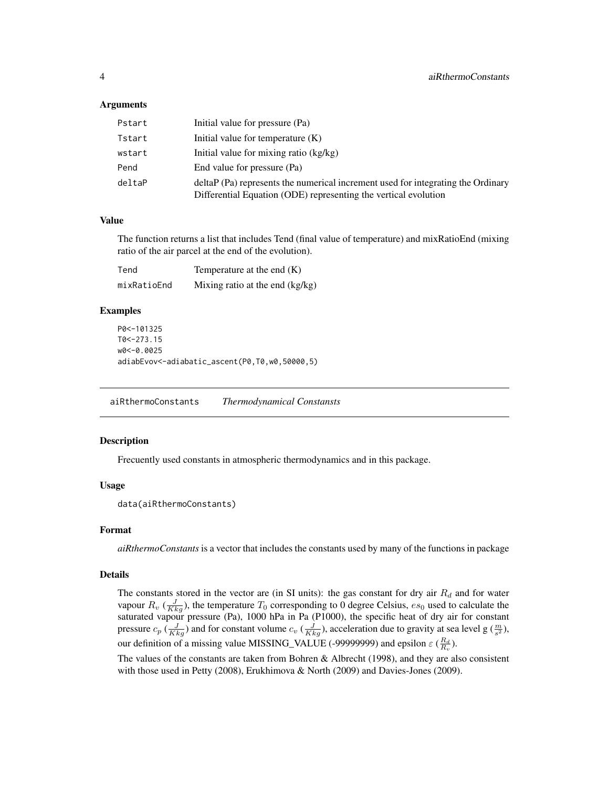#### <span id="page-3-0"></span>Arguments

| Pstart | Initial value for pressure (Pa)                                                                                                                     |
|--------|-----------------------------------------------------------------------------------------------------------------------------------------------------|
| Tstart | Initial value for temperature $(K)$                                                                                                                 |
| wstart | Initial value for mixing ratio (kg/kg)                                                                                                              |
| Pend   | End value for pressure (Pa)                                                                                                                         |
| deltaP | deltaP (Pa) represents the numerical increment used for integrating the Ordinary<br>Differential Equation (ODE) representing the vertical evolution |

#### Value

The function returns a list that includes Tend (final value of temperature) and mixRatioEnd (mixing ratio of the air parcel at the end of the evolution).

| Tend        | Temperature at the end $(K)$    |
|-------------|---------------------------------|
| mixRatioEnd | Mixing ratio at the end (kg/kg) |

# Examples

```
P0<-101325
T0<-273.15
w0<-0.0025
adiabEvov<-adiabatic_ascent(P0,T0,w0,50000,5)
```
<span id="page-3-1"></span>aiRthermoConstants *Thermodynamical Constansts*

#### Description

Frecuently used constants in atmospheric thermodynamics and in this package.

#### Usage

```
data(aiRthermoConstants)
```
# Format

*aiRthermoConstants* is a vector that includes the constants used by many of the functions in package

#### Details

The constants stored in the vector are (in SI units): the gas constant for dry air  $R_d$  and for water vapour  $R_v$  ( $\frac{J}{Kkg}$ ), the temperature  $T_0$  corresponding to 0 degree Celsius,  $es_0$  used to calculate the saturated vapour pressure (Pa), 1000 hPa in Pa (P1000), the specific heat of dry air for constant pressure  $c_p$  ( $\frac{J}{Kkg}$ ) and for constant volume  $c_v$  ( $\frac{J}{Kkg}$ ), acceleration due to gravity at sea level g ( $\frac{m}{s^2}$ ), our definition of a missing value MISSING\_VALUE (-99999999) and epsilon  $\varepsilon$  ( $\frac{R_d}{R_v}$ ).

The values of the constants are taken from Bohren & Albrecht (1998), and they are also consistent with those used in Petty (2008), Erukhimova & North (2009) and Davies-Jones (2009).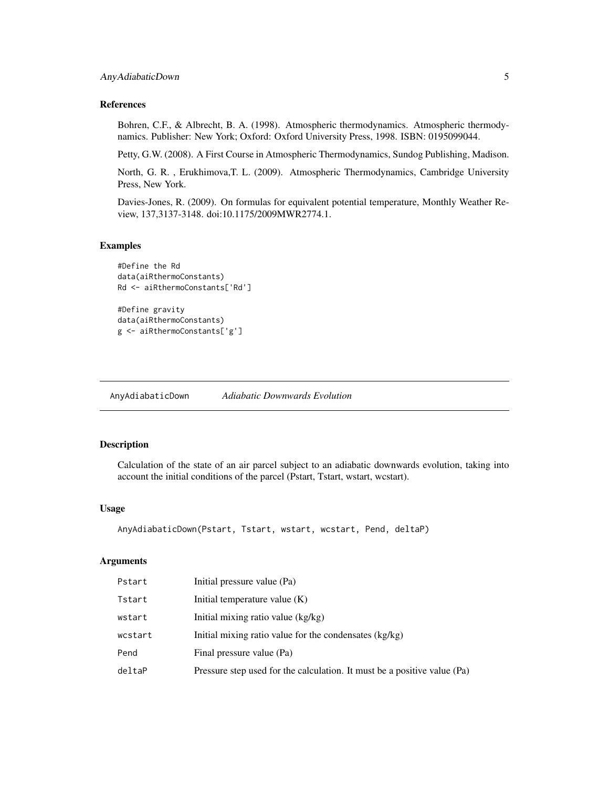#### <span id="page-4-0"></span>References

Bohren, C.F., & Albrecht, B. A. (1998). Atmospheric thermodynamics. Atmospheric thermodynamics. Publisher: New York; Oxford: Oxford University Press, 1998. ISBN: 0195099044.

Petty, G.W. (2008). A First Course in Atmospheric Thermodynamics, Sundog Publishing, Madison.

North, G. R. , Erukhimova,T. L. (2009). Atmospheric Thermodynamics, Cambridge University Press, New York.

Davies-Jones, R. (2009). On formulas for equivalent potential temperature, Monthly Weather Review, 137,3137-3148. doi:10.1175/2009MWR2774.1.

# Examples

```
#Define the Rd
data(aiRthermoConstants)
Rd <- aiRthermoConstants['Rd']
```

```
#Define gravity
data(aiRthermoConstants)
g <- aiRthermoConstants['g']
```
AnyAdiabaticDown *Adiabatic Downwards Evolution*

# Description

Calculation of the state of an air parcel subject to an adiabatic downwards evolution, taking into account the initial conditions of the parcel (Pstart, Tstart, wstart, wcstart).

#### Usage

```
AnyAdiabaticDown(Pstart, Tstart, wstart, wcstart, Pend, deltaP)
```
#### Arguments

| Pstart  | Initial pressure value (Pa)                                              |
|---------|--------------------------------------------------------------------------|
| Tstart  | Initial temperature value $(K)$                                          |
| wstart  | Initial mixing ratio value (kg/kg)                                       |
| wcstart | Initial mixing ratio value for the condensates (kg/kg)                   |
| Pend    | Final pressure value (Pa)                                                |
| deltaP  | Pressure step used for the calculation. It must be a positive value (Pa) |
|         |                                                                          |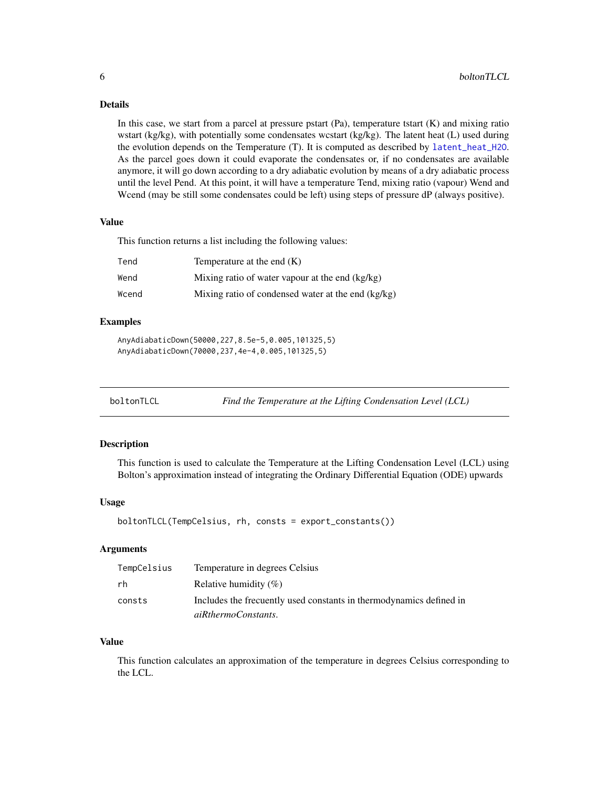# <span id="page-5-0"></span>Details

In this case, we start from a parcel at pressure pstart  $(Pa)$ , temperature tstart  $(K)$  and mixing ratio wstart (kg/kg), with potentially some condensates wcstart (kg/kg). The latent heat (L) used during the evolution depends on the Temperature (T). It is computed as described by [latent\\_heat\\_H2O](#page-20-1). As the parcel goes down it could evaporate the condensates or, if no condensates are available anymore, it will go down according to a dry adiabatic evolution by means of a dry adiabatic process until the level Pend. At this point, it will have a temperature Tend, mixing ratio (vapour) Wend and Wcend (may be still some condensates could be left) using steps of pressure dP (always positive).

#### Value

This function returns a list including the following values:

| Tend  | Temperature at the end $(K)$                       |
|-------|----------------------------------------------------|
| Wend  | Mixing ratio of water vapour at the end (kg/kg)    |
| Wcend | Mixing ratio of condensed water at the end (kg/kg) |

# Examples

AnyAdiabaticDown(50000,227,8.5e-5,0.005,101325,5) AnyAdiabaticDown(70000,237,4e-4,0.005,101325,5)

<span id="page-5-1"></span>

|  | boltonTLCL | Find the Temperature at the Lifting Condensation Level (LCL) |
|--|------------|--------------------------------------------------------------|
|--|------------|--------------------------------------------------------------|

# Description

This function is used to calculate the Temperature at the Lifting Condensation Level (LCL) using Bolton's approximation instead of integrating the Ordinary Differential Equation (ODE) upwards

# Usage

```
boltonTLCL(TempCelsius, rh, consts = export_constants())
```
#### Arguments

| TempCelsius | Temperature in degrees Celsius                                      |
|-------------|---------------------------------------------------------------------|
| rh          | Relative humidity $(\% )$                                           |
| consts      | Includes the frecuently used constants in thermodynamics defined in |
|             | aiRthermoConstants.                                                 |

#### Value

This function calculates an approximation of the temperature in degrees Celsius corresponding to the LCL.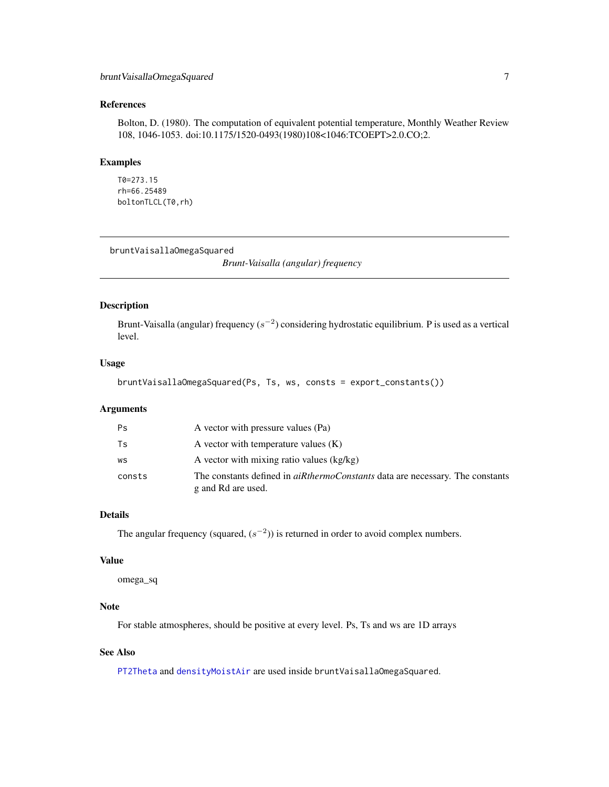# <span id="page-6-0"></span>References

Bolton, D. (1980). The computation of equivalent potential temperature, Monthly Weather Review 108, 1046-1053. doi:10.1175/1520-0493(1980)108<1046:TCOEPT>2.0.CO;2.

#### Examples

```
T0=273.15
rh=66.25489
boltonTLCL(T0,rh)
```
bruntVaisallaOmegaSquared

*Brunt-Vaisalla (angular) frequency*

# Description

Brunt-Vaisalla (angular) frequency  $(s^{-2})$  considering hydrostatic equilibrium. P is used as a vertical level.

#### Usage

```
bruntVaisallaOmegaSquared(Ps, Ts, ws, consts = export_constants())
```
#### Arguments

| Ps     | A vector with pressure values (Pa)                                                                         |
|--------|------------------------------------------------------------------------------------------------------------|
| Ts     | A vector with temperature values $(K)$                                                                     |
| WS     | A vector with mixing ratio values (kg/kg)                                                                  |
| consts | The constants defined in <i>aiRthermoConstants</i> data are necessary. The constants<br>g and Rd are used. |

# Details

The angular frequency (squared,  $(s^{-2})$ ) is returned in order to avoid complex numbers.

#### Value

omega\_sq

# Note

For stable atmospheres, should be positive at every level. Ps, Ts and ws are 1D arrays

# See Also

[PT2Theta](#page-26-1) and [densityMoistAir](#page-11-1) are used inside bruntVaisallaOmegaSquared.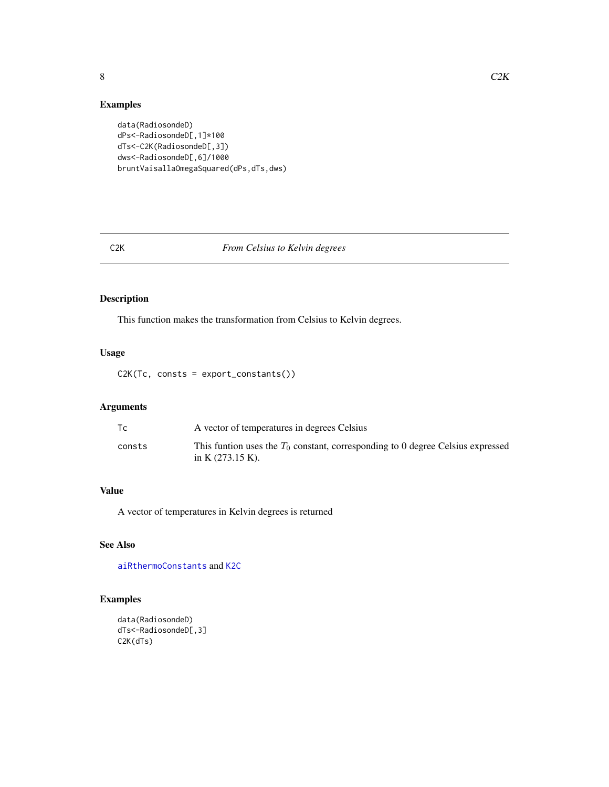# Examples

```
data(RadiosondeD)
dPs<-RadiosondeD[,1]*100
dTs<-C2K(RadiosondeD[,3])
dws<-RadiosondeD[,6]/1000
bruntVaisallaOmegaSquared(dPs,dTs,dws)
```
# <span id="page-7-1"></span>C2K *From Celsius to Kelvin degrees*

# Description

This function makes the transformation from Celsius to Kelvin degrees.

# Usage

C2K(Tc, consts = export\_constants())

# Arguments

| Тc     | A vector of temperatures in degrees Celsius                                                                      |
|--------|------------------------------------------------------------------------------------------------------------------|
| consts | This funtion uses the $T_0$ constant, corresponding to 0 degree Celsius expressed<br>in K $(273.15 \text{ K})$ . |

# Value

A vector of temperatures in Kelvin degrees is returned

# See Also

[aiRthermoConstants](#page-3-1) and [K2C](#page-19-1)

# Examples

```
data(RadiosondeD)
dTs<-RadiosondeD[,3]
C2K(dTs)
```
<span id="page-7-0"></span>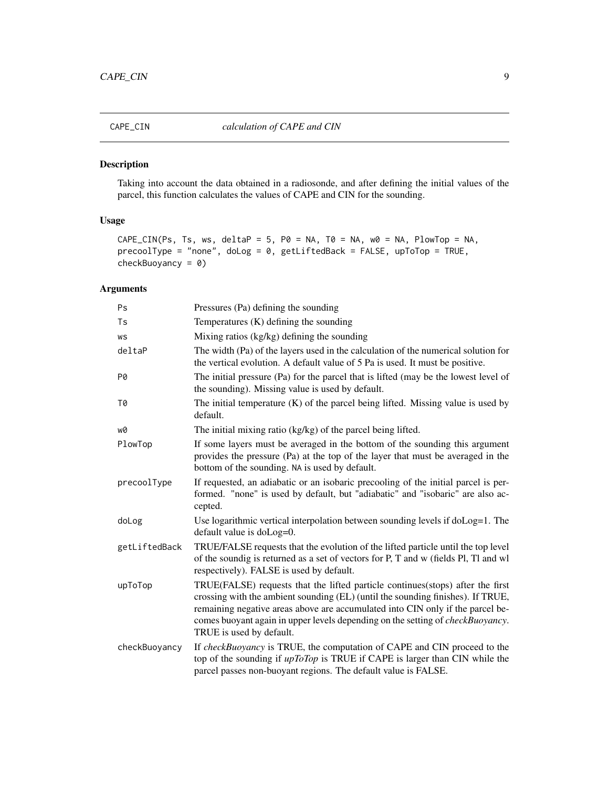<span id="page-8-0"></span>

Taking into account the data obtained in a radiosonde, and after defining the initial values of the parcel, this function calculates the values of CAPE and CIN for the sounding.

# Usage

```
CAPE_CIN(Ps, Ts, ws, deltaP = 5, P0 = NA, T0 = NA, w0 = NA, PlowTop = NA,
precoolType = "none", doLog = 0, getLiftedBack = FALSE, upToTop = TRUE,
checkBuoyancy = \theta)
```
# Arguments

| Ps            | Pressures (Pa) defining the sounding                                                                                                                                                                                                                                                                                                                                      |
|---------------|---------------------------------------------------------------------------------------------------------------------------------------------------------------------------------------------------------------------------------------------------------------------------------------------------------------------------------------------------------------------------|
| Ts            | Temperatures $(K)$ defining the sounding                                                                                                                                                                                                                                                                                                                                  |
| WS            | Mixing ratios (kg/kg) defining the sounding                                                                                                                                                                                                                                                                                                                               |
| deltaP        | The width (Pa) of the layers used in the calculation of the numerical solution for<br>the vertical evolution. A default value of 5 Pa is used. It must be positive.                                                                                                                                                                                                       |
| P0            | The initial pressure (Pa) for the parcel that is lifted (may be the lowest level of<br>the sounding). Missing value is used by default.                                                                                                                                                                                                                                   |
| T0            | The initial temperature $(K)$ of the parcel being lifted. Missing value is used by<br>default.                                                                                                                                                                                                                                                                            |
| w0            | The initial mixing ratio (kg/kg) of the parcel being lifted.                                                                                                                                                                                                                                                                                                              |
| PlowTop       | If some layers must be averaged in the bottom of the sounding this argument<br>provides the pressure (Pa) at the top of the layer that must be averaged in the<br>bottom of the sounding. NA is used by default.                                                                                                                                                          |
| precoolType   | If requested, an adiabatic or an isobaric precooling of the initial parcel is per-<br>formed. "none" is used by default, but "adiabatic" and "isobaric" are also ac-<br>cepted.                                                                                                                                                                                           |
| doLog         | Use logarithmic vertical interpolation between sounding levels if doLog=1. The<br>default value is $d$ o $Log=0$ .                                                                                                                                                                                                                                                        |
| getLiftedBack | TRUE/FALSE requests that the evolution of the lifted particle until the top level<br>of the soundig is returned as a set of vectors for P, T and w (fields Pl, Tl and wl<br>respectively). FALSE is used by default.                                                                                                                                                      |
| upToTop       | TRUE(FALSE) requests that the lifted particle continues(stops) after the first<br>crossing with the ambient sounding (EL) (until the sounding finishes). If TRUE,<br>remaining negative areas above are accumulated into CIN only if the parcel be-<br>comes buoyant again in upper levels depending on the setting of <i>checkBuoyancy</i> .<br>TRUE is used by default. |
| checkBuoyancy | If checkBuoyancy is TRUE, the computation of CAPE and CIN proceed to the<br>top of the sounding if <i>upToTop</i> is TRUE if CAPE is larger than CIN while the<br>parcel passes non-buoyant regions. The default value is FALSE.                                                                                                                                          |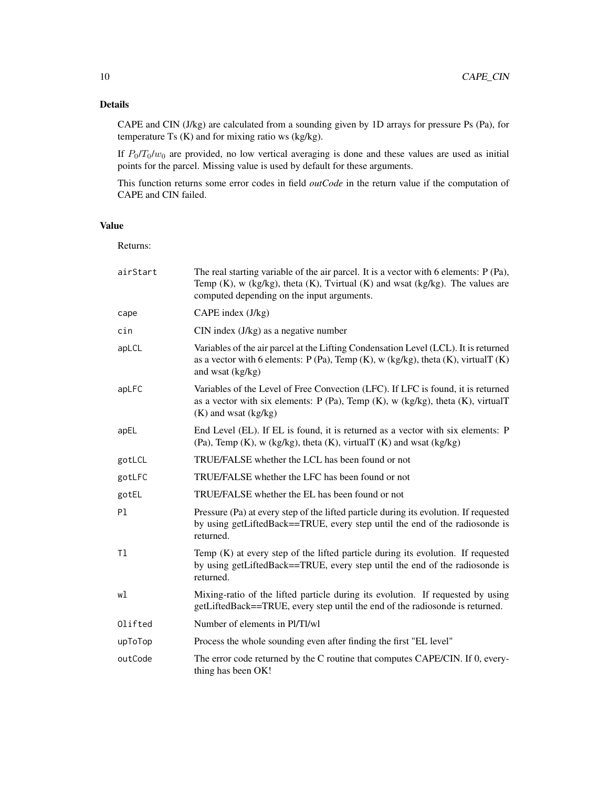# Details

CAPE and CIN (J/kg) are calculated from a sounding given by 1D arrays for pressure Ps (Pa), for temperature Ts (K) and for mixing ratio ws (kg/kg).

If  $P_0/T_0/w_0$  are provided, no low vertical averaging is done and these values are used as initial points for the parcel. Missing value is used by default for these arguments.

This function returns some error codes in field *outCode* in the return value if the computation of CAPE and CIN failed.

# Value

Returns:

| airStart | The real starting variable of the air parcel. It is a vector with 6 elements: P (Pa),<br>Temp $(K)$ , w (kg/kg), theta $(K)$ , Tvirtual $(K)$ and wsat (kg/kg). The values are<br>computed depending on the input arguments. |
|----------|------------------------------------------------------------------------------------------------------------------------------------------------------------------------------------------------------------------------------|
| cape     | CAPE index $(J/kg)$                                                                                                                                                                                                          |
| cin      | $CIN$ index $(J/kg)$ as a negative number                                                                                                                                                                                    |
| apLCL    | Variables of the air parcel at the Lifting Condensation Level (LCL). It is returned<br>as a vector with 6 elements: $P(Pa)$ , Temp (K), w (kg/kg), theta (K), virtualT (K)<br>and wsat (kg/kg)                               |
| apLFC    | Variables of the Level of Free Convection (LFC). If LFC is found, it is returned<br>as a vector with six elements: $P(Pa)$ , Temp (K), w (kg/kg), theta (K), virtualT<br>$(K)$ and wsat $(kg/kg)$                            |
| apEL     | End Level (EL). If EL is found, it is returned as a vector with six elements: P<br>$(Pa)$ , Temp $(K)$ , w $(kg/kg)$ , theta $(K)$ , virtual $T(K)$ and wsat $(kg/kg)$                                                       |
| gotLCL   | TRUE/FALSE whether the LCL has been found or not                                                                                                                                                                             |
| gotLFC   | TRUE/FALSE whether the LFC has been found or not                                                                                                                                                                             |
| gotEL    | TRUE/FALSE whether the EL has been found or not                                                                                                                                                                              |
| Pl       | Pressure (Pa) at every step of the lifted particle during its evolution. If requested<br>by using getLiftedBack==TRUE, every step until the end of the radiosonde is<br>returned.                                            |
| T1       | Temp $(K)$ at every step of the lifted particle during its evolution. If requested<br>by using getLiftedBack==TRUE, every step until the end of the radiosonde is<br>returned.                                               |
| wl       | Mixing-ratio of the lifted particle during its evolution. If requested by using<br>getLiftedBack==TRUE, every step until the end of the radiosonde is returned.                                                              |
| Olifted  | Number of elements in Pl/Tl/wl                                                                                                                                                                                               |
| upToTop  | Process the whole sounding even after finding the first "EL level"                                                                                                                                                           |
| outCode  | The error code returned by the C routine that computes CAPE/CIN. If 0, every-<br>thing has been OK!                                                                                                                          |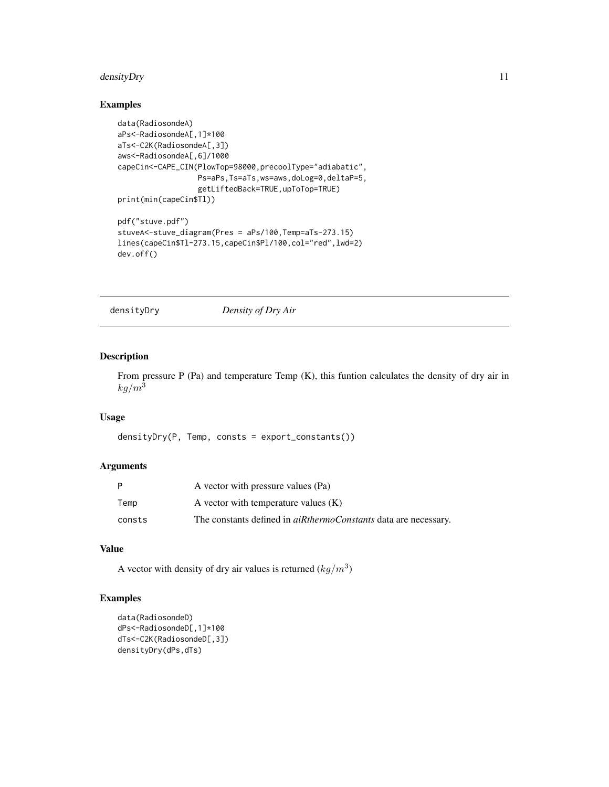# <span id="page-10-0"></span>densityDry 11

# Examples

```
data(RadiosondeA)
aPs<-RadiosondeA[,1]*100
aTs<-C2K(RadiosondeA[,3])
aws<-RadiosondeA[,6]/1000
capeCin<-CAPE_CIN(PlowTop=98000,precoolType="adiabatic",
                  Ps=aPs,Ts=aTs,ws=aws,doLog=0,deltaP=5,
                  getLiftedBack=TRUE,upToTop=TRUE)
print(min(capeCin$Tl))
pdf("stuve.pdf")
stuveA<-stuve_diagram(Pres = aPs/100,Temp=aTs-273.15)
lines(capeCin$Tl-273.15,capeCin$Pl/100,col="red",lwd=2)
dev.off()
```
densityDry *Density of Dry Air*

#### Description

From pressure P (Pa) and temperature Temp (K), this funtion calculates the density of dry air in  $kg/m<sup>3</sup>$ 

#### Usage

densityDry(P, Temp, consts = export\_constants())

#### Arguments

| P      | A vector with pressure values (Pa)                                     |
|--------|------------------------------------------------------------------------|
| Temp   | A vector with temperature values $(K)$                                 |
| consts | The constants defined in <i>aiRthermoConstants</i> data are necessary. |

# Value

A vector with density of dry air values is returned  $(kg/m^3)$ 

#### Examples

```
data(RadiosondeD)
dPs<-RadiosondeD[,1]*100
dTs<-C2K(RadiosondeD[,3])
densityDry(dPs,dTs)
```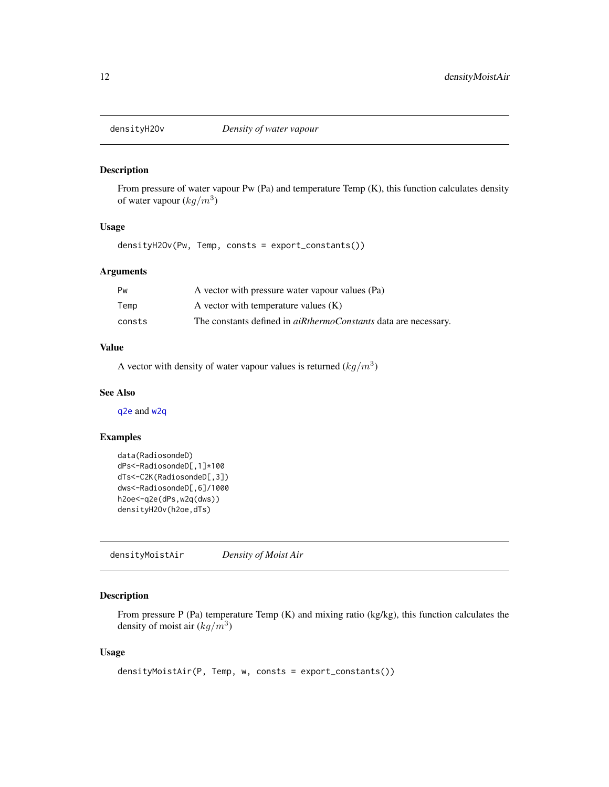<span id="page-11-0"></span>

From pressure of water vapour Pw (Pa) and temperature Temp (K), this function calculates density of water vapour  $(kg/m^3)$ 

#### Usage

densityH2Ov(Pw, Temp, consts = export\_constants())

#### Arguments

| Pw     | A vector with pressure water vapour values (Pa)                        |
|--------|------------------------------------------------------------------------|
| Temp   | A vector with temperature values $(K)$                                 |
| consts | The constants defined in <i>aiRthermoConstants</i> data are necessary. |

# Value

A vector with density of water vapour values is returned  $(kg/m^3)$ 

# See Also

[q2e](#page-28-1) and [w2q](#page-40-1)

# Examples

```
data(RadiosondeD)
dPs<-RadiosondeD[,1]*100
dTs<-C2K(RadiosondeD[,3])
dws<-RadiosondeD[,6]/1000
h2oe<-q2e(dPs,w2q(dws))
densityH2Ov(h2oe,dTs)
```
<span id="page-11-1"></span>densityMoistAir *Density of Moist Air*

# Description

From pressure P (Pa) temperature Temp (K) and mixing ratio (kg/kg), this function calculates the density of moist air  $(kg/m^3)$ 

#### Usage

```
densityMoistAir(P, Temp, w, consts = export_constants())
```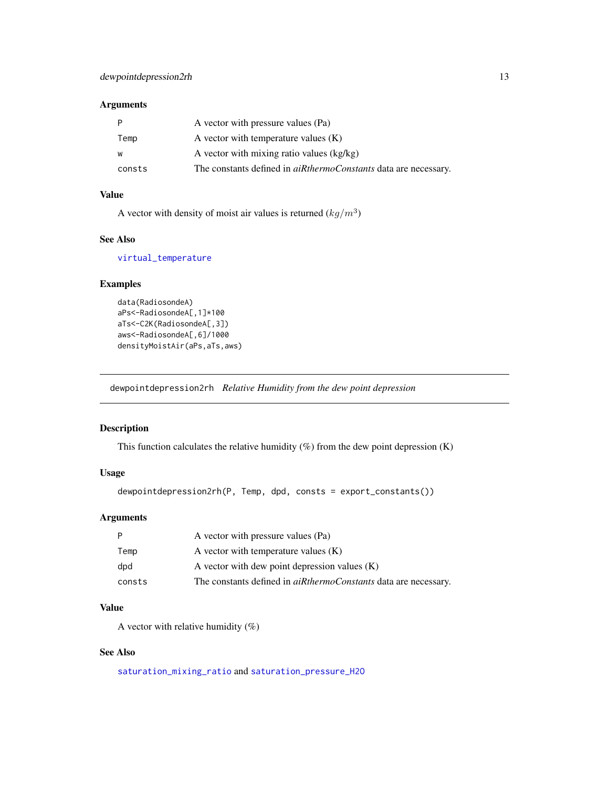# <span id="page-12-0"></span>Arguments

| P      | A vector with pressure values (Pa)                                     |
|--------|------------------------------------------------------------------------|
| Temp   | A vector with temperature values $(K)$                                 |
| W      | A vector with mixing ratio values (kg/kg)                              |
| consts | The constants defined in <i>aiRthermoConstants</i> data are necessary. |

# Value

A vector with density of moist air values is returned  $(kg/m^3)$ 

# See Also

[virtual\\_temperature](#page-40-2)

# Examples

```
data(RadiosondeA)
aPs<-RadiosondeA[,1]*100
aTs<-C2K(RadiosondeA[,3])
aws<-RadiosondeA[,6]/1000
densityMoistAir(aPs,aTs,aws)
```
dewpointdepression2rh *Relative Humidity from the dew point depression*

#### Description

This function calculates the relative humidity (%) from the dew point depression (K)

# Usage

```
dewpointdepression2rh(P, Temp, dpd, consts = export_constants())
```
# Arguments

| P      | A vector with pressure values (Pa)                                     |
|--------|------------------------------------------------------------------------|
| Temp   | A vector with temperature values $(K)$                                 |
| dpd    | A vector with dew point depression values $(K)$                        |
| consts | The constants defined in <i>aiRthermoConstants</i> data are necessary. |

# Value

A vector with relative humidity  $(\%)$ 

# See Also

[saturation\\_mixing\\_ratio](#page-34-1) and [saturation\\_pressure\\_H2O](#page-34-2)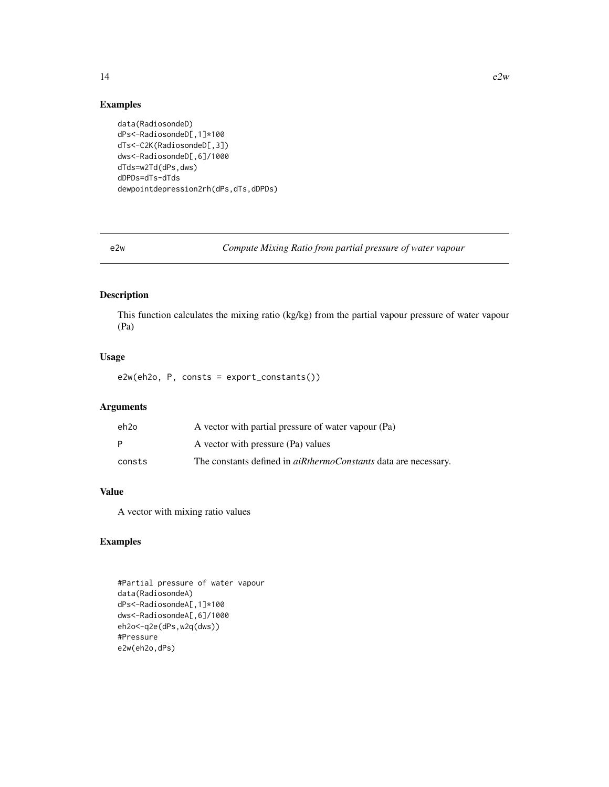#### Examples

```
data(RadiosondeD)
dPs<-RadiosondeD[,1]*100
dTs<-C2K(RadiosondeD[,3])
dws<-RadiosondeD[,6]/1000
dTds=w2Td(dPs,dws)
dDPDs=dTs-dTds
dewpointdepression2rh(dPs,dTs,dDPDs)
```
e2w *Compute Mixing Ratio from partial pressure of water vapour*

# Description

This function calculates the mixing ratio (kg/kg) from the partial vapour pressure of water vapour (Pa)

# Usage

e2w(eh2o, P, consts = export\_constants())

# Arguments

| eh2o   | A vector with partial pressure of water vapour (Pa)                    |
|--------|------------------------------------------------------------------------|
| P      | A vector with pressure (Pa) values                                     |
| consts | The constants defined in <i>aiRthermoConstants</i> data are necessary. |

# Value

A vector with mixing ratio values

# Examples

```
#Partial pressure of water vapour
data(RadiosondeA)
dPs<-RadiosondeA[,1]*100
dws<-RadiosondeA[,6]/1000
eh2o<-q2e(dPs,w2q(dws))
#Pressure
e2w(eh2o,dPs)
```
<span id="page-13-0"></span> $14$  e2w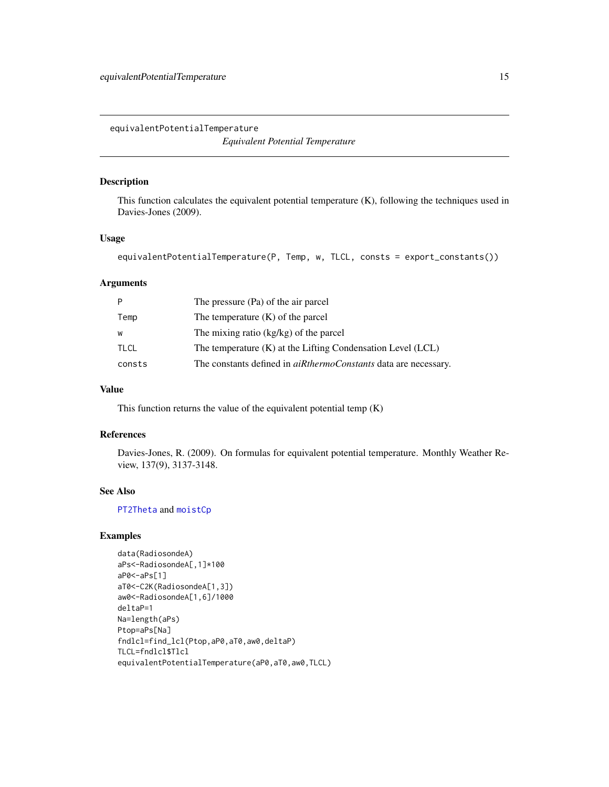<span id="page-14-0"></span>equivalentPotentialTemperature *Equivalent Potential Temperature*

# Description

This function calculates the equivalent potential temperature (K), following the techniques used in Davies-Jones (2009).

#### Usage

```
equivalentPotentialTemperature(P, Temp, w, TLCL, consts = export_constants())
```
#### Arguments

|             | The pressure (Pa) of the air parcel                                    |
|-------------|------------------------------------------------------------------------|
| Temp        | The temperature $(K)$ of the parcel                                    |
| W           | The mixing ratio $(kg/kg)$ of the parcel                               |
| <b>TLCL</b> | The temperature $(K)$ at the Lifting Condensation Level $(LCL)$        |
| consts      | The constants defined in <i>aiRthermoConstants</i> data are necessary. |

# Value

This function returns the value of the equivalent potential temp  $(K)$ 

# References

Davies-Jones, R. (2009). On formulas for equivalent potential temperature. Monthly Weather Review, 137(9), 3137-3148.

# See Also

[PT2Theta](#page-26-1) and [moistCp](#page-23-1)

# Examples

```
data(RadiosondeA)
aPs<-RadiosondeA[,1]*100
aP0<-aPs[1]
aT0<-C2K(RadiosondeA[1,3])
aw0<-RadiosondeA[1,6]/1000
deltaP=1
Na=length(aPs)
Ptop=aPs[Na]
fndlcl=find_lcl(Ptop,aP0,aT0,aw0,deltaP)
TLCL=fndlcl$Tlcl
equivalentPotentialTemperature(aP0,aT0,aw0,TLCL)
```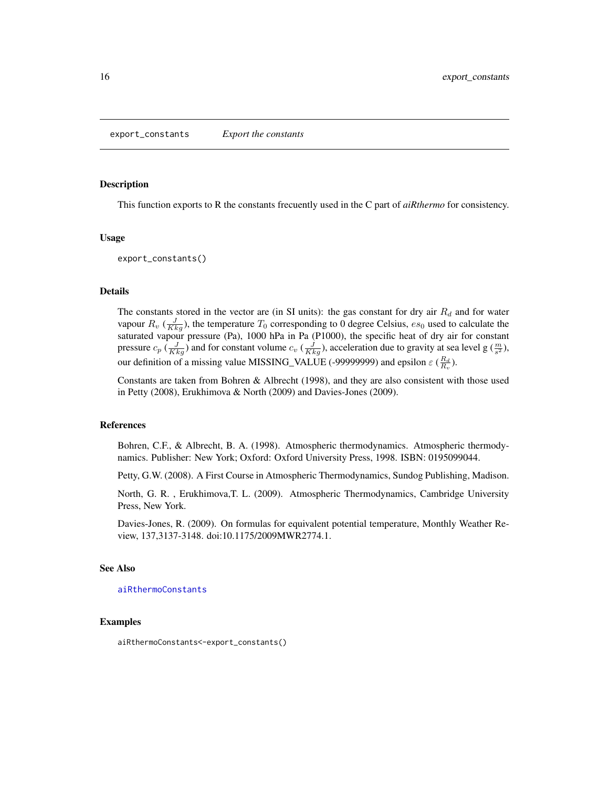<span id="page-15-0"></span>This function exports to R the constants frecuently used in the C part of *aiRthermo* for consistency.

#### Usage

export\_constants()

#### Details

The constants stored in the vector are (in SI units): the gas constant for dry air  $R_d$  and for water vapour  $R_v$  ( $\frac{J}{Kkg}$ ), the temperature  $T_0$  corresponding to 0 degree Celsius,  $es_0$  used to calculate the saturated vapour pressure (Pa), 1000 hPa in Pa (P1000), the specific heat of dry air for constant pressure  $c_p \left(\frac{J}{Kkg}\right)$  and for constant volume  $c_v \left(\frac{J}{Kkg}\right)$ , acceleration due to gravity at sea level g  $\left(\frac{m}{s^2}\right)$ , our definition of a missing value MISSING\_VALUE (-99999999) and epsilon  $\varepsilon$  ( $\frac{R_d}{R_v}$ ).

Constants are taken from Bohren & Albrecht (1998), and they are also consistent with those used in Petty (2008), Erukhimova & North (2009) and Davies-Jones (2009).

#### References

Bohren, C.F., & Albrecht, B. A. (1998). Atmospheric thermodynamics. Atmospheric thermodynamics. Publisher: New York; Oxford: Oxford University Press, 1998. ISBN: 0195099044.

Petty, G.W. (2008). A First Course in Atmospheric Thermodynamics, Sundog Publishing, Madison.

North, G. R. , Erukhimova,T. L. (2009). Atmospheric Thermodynamics, Cambridge University Press, New York.

Davies-Jones, R. (2009). On formulas for equivalent potential temperature, Monthly Weather Review, 137,3137-3148. doi:10.1175/2009MWR2774.1.

#### See Also

#### [aiRthermoConstants](#page-3-1)

#### Examples

aiRthermoConstants<-export\_constants()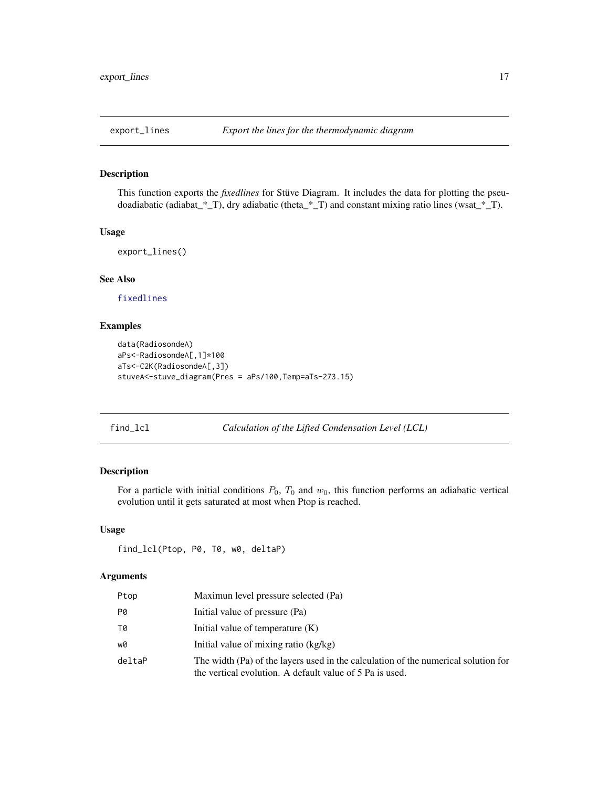<span id="page-16-1"></span><span id="page-16-0"></span>

This function exports the *fixedlines* for Stüve Diagram. It includes the data for plotting the pseudoadiabatic (adiabat\_\*\_T), dry adiabatic (theta\_\*\_T) and constant mixing ratio lines (wsat\_\*\_T).

#### Usage

export\_lines()

# See Also

[fixedlines](#page-17-1)

# Examples

```
data(RadiosondeA)
aPs<-RadiosondeA[,1]*100
aTs<-C2K(RadiosondeA[,3])
stuveA<-stuve_diagram(Pres = aPs/100,Temp=aTs-273.15)
```

```
find_lcl Calculation of the Lifted Condensation Level (LCL)
```
# Description

For a particle with initial conditions  $P_0$ ,  $T_0$  and  $w_0$ , this function performs an adiabatic vertical evolution until it gets saturated at most when Ptop is reached.

# Usage

find\_lcl(Ptop, P0, T0, w0, deltaP)

#### Arguments

| Ptop   | Maximun level pressure selected (Pa)                                                                                                           |
|--------|------------------------------------------------------------------------------------------------------------------------------------------------|
| P0     | Initial value of pressure (Pa)                                                                                                                 |
| T0     | Initial value of temperature $(K)$                                                                                                             |
| w0     | Initial value of mixing ratio (kg/kg)                                                                                                          |
| deltaP | The width (Pa) of the layers used in the calculation of the numerical solution for<br>the vertical evolution. A default value of 5 Pa is used. |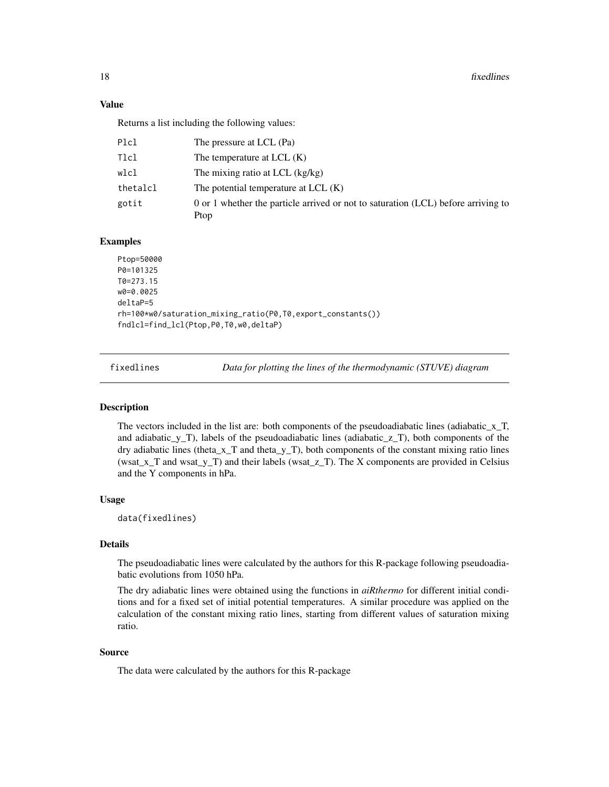18 fixedlines and the state of the state of the state of the state of the state of the state of the state of the state of the state of the state of the state of the state of the state of the state of the state of the state

#### Value

Returns a list including the following values:

| Plcl     | The pressure at LCL (Pa)                                                          |
|----------|-----------------------------------------------------------------------------------|
| Tlcl     | The temperature at $LCL(K)$                                                       |
| wlcl     | The mixing ratio at LCL (kg/kg)                                                   |
| thetalcl | The potential temperature at $LCL(K)$                                             |
| gotit    | 0 or 1 whether the particle arrived or not to saturation (LCL) before arriving to |
|          | Ptop                                                                              |

# Examples

```
Ptop=50000
P0=101325
T0=273.15
w0=0.0025
deltaP=5
rh=100*w0/saturation_mixing_ratio(P0,T0,export_constants())
fndlcl=find_lcl(Ptop,P0,T0,w0,deltaP)
```
<span id="page-17-1"></span>fixedlines *Data for plotting the lines of the thermodynamic (STUVE) diagram*

#### Description

The vectors included in the list are: both components of the pseudoadiabatic lines (adiabatic\_x\_T, and adiabatic\_y\_T), labels of the pseudoadiabatic lines (adiabatic\_z\_T), both components of the dry adiabatic lines (theta\_x\_T and theta\_y\_T), both components of the constant mixing ratio lines (wsat\_x\_T and wsat\_y\_T) and their labels (wsat\_z\_T). The X components are provided in Celsius and the Y components in hPa.

#### Usage

data(fixedlines)

#### Details

The pseudoadiabatic lines were calculated by the authors for this R-package following pseudoadiabatic evolutions from 1050 hPa.

The dry adiabatic lines were obtained using the functions in *aiRthermo* for different initial conditions and for a fixed set of initial potential temperatures. A similar procedure was applied on the calculation of the constant mixing ratio lines, starting from different values of saturation mixing ratio.

#### Source

The data were calculated by the authors for this R-package

<span id="page-17-0"></span>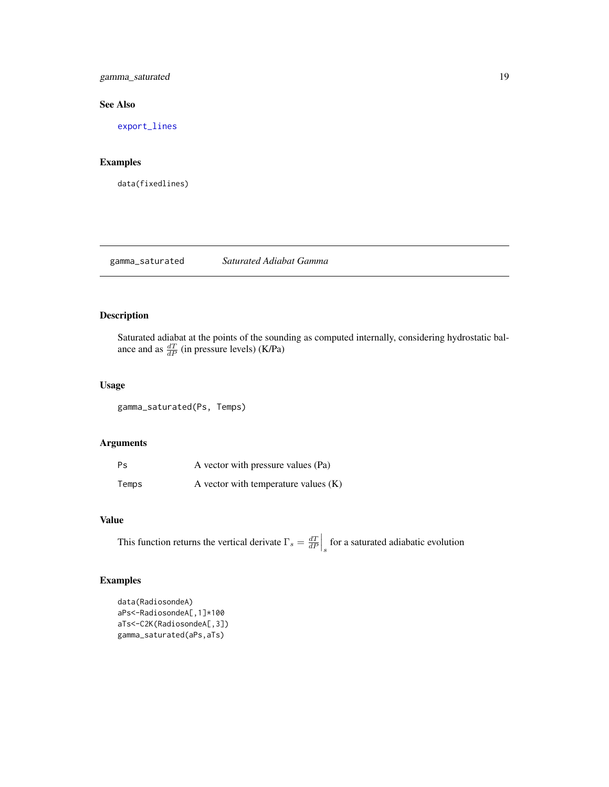<span id="page-18-0"></span>gamma\_saturated 19

# See Also

[export\\_lines](#page-16-1)

# Examples

data(fixedlines)

# gamma\_saturated *Saturated Adiabat Gamma*

# Description

Saturated adiabat at the points of the sounding as computed internally, considering hydrostatic balance and as  $\frac{dT}{dP}$  (in pressure levels) (K/Pa)

#### Usage

gamma\_saturated(Ps, Temps)

# Arguments

| Ps    | A vector with pressure values (Pa)     |
|-------|----------------------------------------|
| Temps | A vector with temperature values $(K)$ |

# Value

This function returns the vertical derivate  $\Gamma_s = \frac{dT}{dP} \Big|_s$  for a saturated adiabatic evolution

# Examples

```
data(RadiosondeA)
aPs<-RadiosondeA[,1]*100
aTs<-C2K(RadiosondeA[,3])
gamma_saturated(aPs,aTs)
```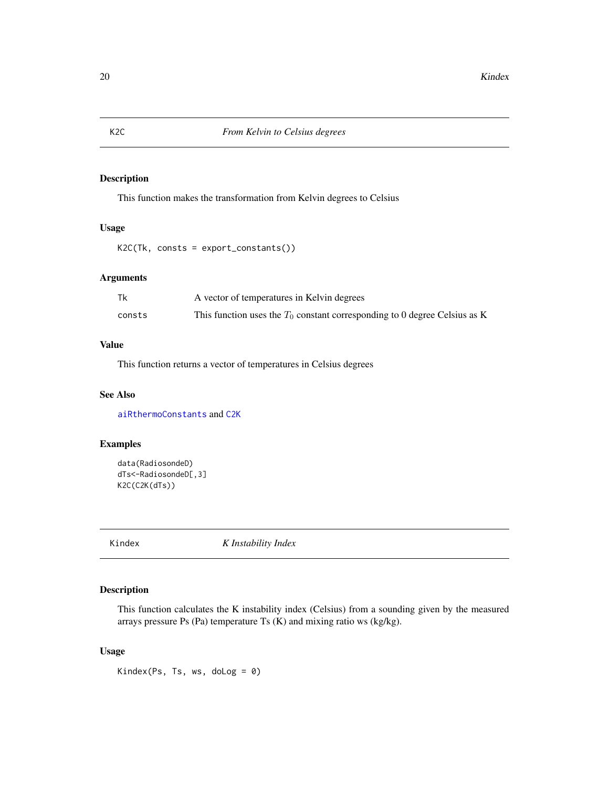This function makes the transformation from Kelvin degrees to Celsius

#### Usage

K2C(Tk, consts = export\_constants())

# Arguments

| Tk     | A vector of temperatures in Kelvin degrees                                   |
|--------|------------------------------------------------------------------------------|
| consts | This function uses the $T_0$ constant corresponding to 0 degree Celsius as K |

# Value

This function returns a vector of temperatures in Celsius degrees

# See Also

[aiRthermoConstants](#page-3-1) and [C2K](#page-7-1)

# Examples

```
data(RadiosondeD)
dTs<-RadiosondeD[,3]
K2C(C2K(dTs))
```
Kindex *K Instability Index*

# Description

This function calculates the K instability index (Celsius) from a sounding given by the measured arrays pressure Ps (Pa) temperature Ts (K) and mixing ratio ws (kg/kg).

# Usage

Kindex(Ps, Ts, ws, doLog = 0)

<span id="page-19-1"></span><span id="page-19-0"></span>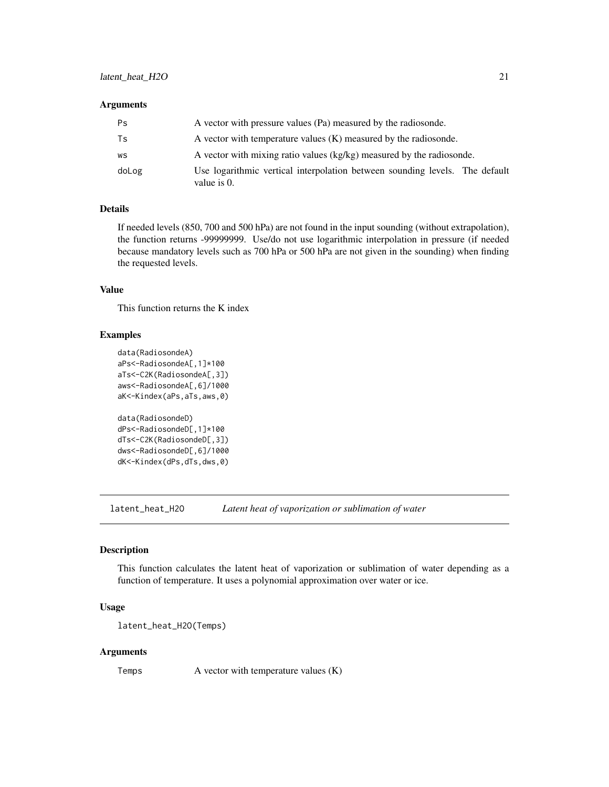#### <span id="page-20-0"></span>Arguments

| Ps    | A vector with pressure values (Pa) measured by the radiosonde.                                |
|-------|-----------------------------------------------------------------------------------------------|
| Ts    | A vector with temperature values $(K)$ measured by the radiosonde.                            |
| WS    | A vector with mixing ratio values (kg/kg) measured by the radiosonde.                         |
| doLog | Use logarithmic vertical interpolation between sounding levels. The default<br>value is $0$ . |

#### Details

If needed levels (850, 700 and 500 hPa) are not found in the input sounding (without extrapolation), the function returns -99999999. Use/do not use logarithmic interpolation in pressure (if needed because mandatory levels such as 700 hPa or 500 hPa are not given in the sounding) when finding the requested levels.

# Value

This function returns the K index

#### Examples

```
data(RadiosondeA)
aPs<-RadiosondeA[,1]*100
aTs<-C2K(RadiosondeA[,3])
aws<-RadiosondeA[,6]/1000
aK<-Kindex(aPs,aTs,aws,0)
data(RadiosondeD)
dPs<-RadiosondeD[,1]*100
dTs<-C2K(RadiosondeD[,3])
dws<-RadiosondeD[,6]/1000
dK<-Kindex(dPs,dTs,dws,0)
```
<span id="page-20-1"></span>latent\_heat\_H2O *Latent heat of vaporization or sublimation of water*

#### Description

This function calculates the latent heat of vaporization or sublimation of water depending as a function of temperature. It uses a polynomial approximation over water or ice.

# Usage

```
latent_heat_H2O(Temps)
```
#### Arguments

Temps A vector with temperature values (K)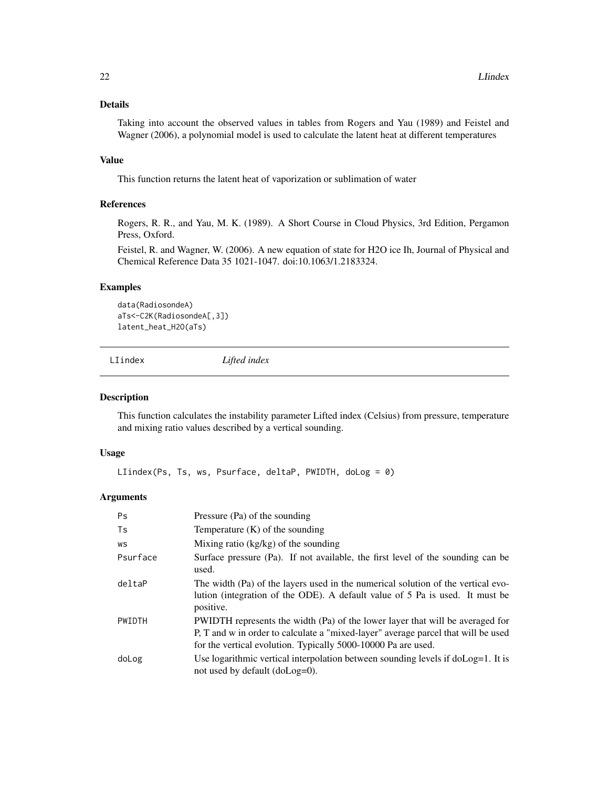# <span id="page-21-0"></span>Details

Taking into account the observed values in tables from Rogers and Yau (1989) and Feistel and Wagner (2006), a polynomial model is used to calculate the latent heat at different temperatures

#### Value

This function returns the latent heat of vaporization or sublimation of water

#### References

Rogers, R. R., and Yau, M. K. (1989). A Short Course in Cloud Physics, 3rd Edition, Pergamon Press, Oxford.

Feistel, R. and Wagner, W. (2006). A new equation of state for H2O ice Ih, Journal of Physical and Chemical Reference Data 35 1021-1047. doi:10.1063/1.2183324.

#### Examples

```
data(RadiosondeA)
aTs<-C2K(RadiosondeA[,3])
latent_heat_H2O(aTs)
```
<span id="page-21-1"></span>LIindex *Lifted index*

#### Description

This function calculates the instability parameter Lifted index (Celsius) from pressure, temperature and mixing ratio values described by a vertical sounding.

#### Usage

LIindex(Ps, Ts, ws, Psurface, deltaP, PWIDTH, doLog = 0)

#### Arguments

| <b>Ps</b> | Pressure (Pa) of the sounding                                                                                                                                                                                                       |
|-----------|-------------------------------------------------------------------------------------------------------------------------------------------------------------------------------------------------------------------------------------|
| Ts        | Temperature $(K)$ of the sounding                                                                                                                                                                                                   |
| WS        | Mixing ratio $(kg/kg)$ of the sounding                                                                                                                                                                                              |
| Psurface  | Surface pressure (Pa). If not available, the first level of the sounding can be<br>used.                                                                                                                                            |
| deltaP    | The width (Pa) of the layers used in the numerical solution of the vertical evo-<br>lution (integration of the ODE). A default value of 5 Pa is used. It must be<br>positive.                                                       |
| PWIDTH    | PWIDTH represents the width (Pa) of the lower layer that will be averaged for<br>P, T and w in order to calculate a "mixed-layer" average parcel that will be used<br>for the vertical evolution. Typically 5000-10000 Pa are used. |
| doLog     | Use logarithmic vertical interpolation between sounding levels if $d_{\text{O}} = 1$ . It is<br>not used by default $(doLog=0)$ .                                                                                                   |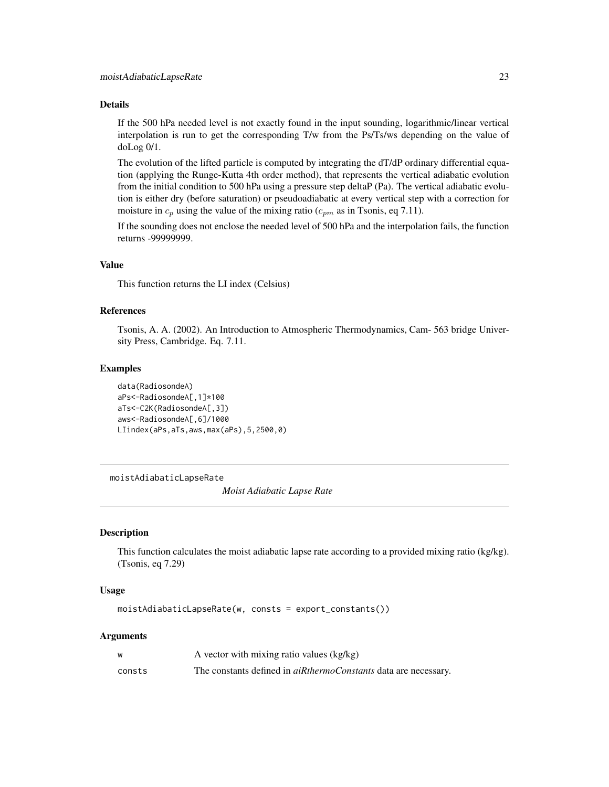#### <span id="page-22-0"></span>Details

If the 500 hPa needed level is not exactly found in the input sounding, logarithmic/linear vertical interpolation is run to get the corresponding T/w from the Ps/Ts/ws depending on the value of doLog 0/1.

The evolution of the lifted particle is computed by integrating the dT/dP ordinary differential equation (applying the Runge-Kutta 4th order method), that represents the vertical adiabatic evolution from the initial condition to 500 hPa using a pressure step deltaP (Pa). The vertical adiabatic evolution is either dry (before saturation) or pseudoadiabatic at every vertical step with a correction for moisture in  $c_p$  using the value of the mixing ratio ( $c_{pm}$  as in Tsonis, eq 7.11).

If the sounding does not enclose the needed level of 500 hPa and the interpolation fails, the function returns -99999999.

#### Value

This function returns the LI index (Celsius)

# References

Tsonis, A. A. (2002). An Introduction to Atmospheric Thermodynamics, Cam- 563 bridge University Press, Cambridge. Eq. 7.11.

#### Examples

```
data(RadiosondeA)
aPs<-RadiosondeA[,1]*100
aTs<-C2K(RadiosondeA[,3])
aws<-RadiosondeA[,6]/1000
LIindex(aPs,aTs,aws,max(aPs),5,2500,0)
```
moistAdiabaticLapseRate

*Moist Adiabatic Lapse Rate*

#### Description

This function calculates the moist adiabatic lapse rate according to a provided mixing ratio (kg/kg). (Tsonis, eq 7.29)

#### Usage

moistAdiabaticLapseRate(w, consts = export\_constants())

#### Arguments

| w      | A vector with mixing ratio values (kg/kg)                              |
|--------|------------------------------------------------------------------------|
| consts | The constants defined in <i>aiRthermoConstants</i> data are necessary. |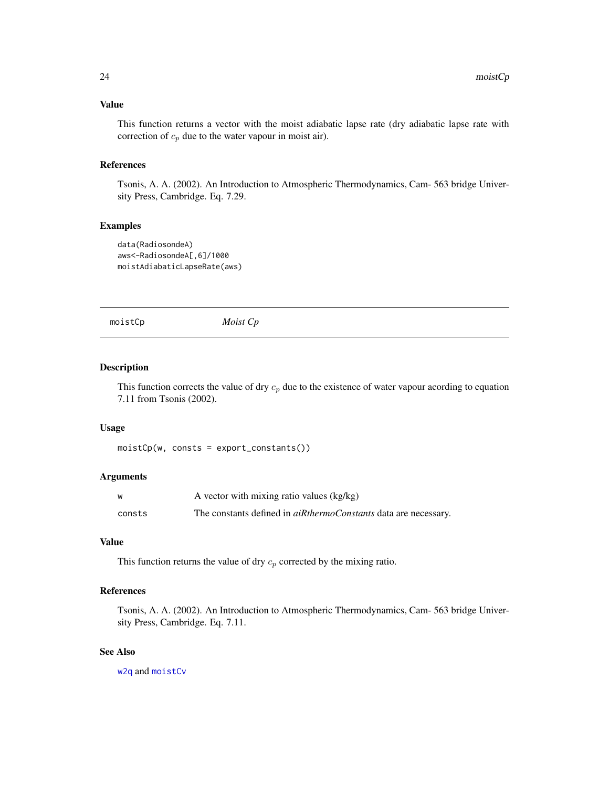#### <span id="page-23-0"></span>Value

This function returns a vector with the moist adiabatic lapse rate (dry adiabatic lapse rate with correction of  $c_p$  due to the water vapour in moist air).

#### References

Tsonis, A. A. (2002). An Introduction to Atmospheric Thermodynamics, Cam- 563 bridge University Press, Cambridge. Eq. 7.29.

#### Examples

```
data(RadiosondeA)
aws<-RadiosondeA[,6]/1000
moistAdiabaticLapseRate(aws)
```
<span id="page-23-1"></span>moistCp *Moist Cp*

#### Description

This function corrects the value of dry  $c_p$  due to the existence of water vapour acording to equation 7.11 from Tsonis (2002).

#### Usage

```
moistCp(w, consts = export_constants())
```
#### Arguments

| W      | A vector with mixing ratio values (kg/kg)                              |
|--------|------------------------------------------------------------------------|
| consts | The constants defined in <i>aiRthermoConstants</i> data are necessary. |

#### Value

This function returns the value of dry  $c_p$  corrected by the mixing ratio.

# References

Tsonis, A. A. (2002). An Introduction to Atmospheric Thermodynamics, Cam- 563 bridge University Press, Cambridge. Eq. 7.11.

# See Also

[w2q](#page-40-1) and [moistCv](#page-24-1)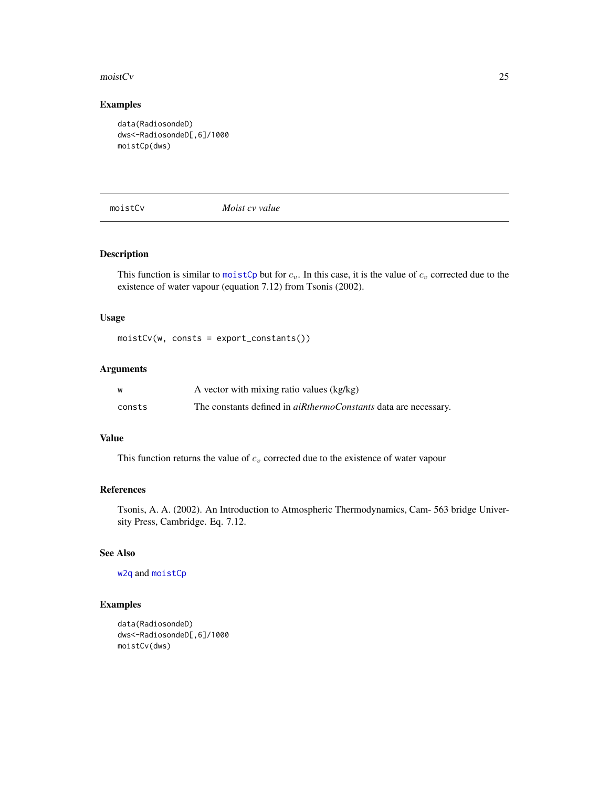#### <span id="page-24-0"></span> $\frac{1}{25}$  and  $\frac{1}{25}$  and  $\frac{1}{25}$  and  $\frac{1}{25}$  and  $\frac{1}{25}$  and  $\frac{1}{25}$  and  $\frac{1}{25}$  and  $\frac{1}{25}$  and  $\frac{1}{25}$  and  $\frac{1}{25}$  and  $\frac{1}{25}$  and  $\frac{1}{25}$  and  $\frac{1}{25}$  and  $\frac{1}{25}$  and  $\frac{1}{25}$

# Examples

```
data(RadiosondeD)
dws<-RadiosondeD[,6]/1000
moistCp(dws)
```
<span id="page-24-1"></span>moistCv *Moist cv value*

#### Description

This function is similar to [moistCp](#page-23-1) but for  $c_v$ . In this case, it is the value of  $c_v$  corrected due to the existence of water vapour (equation 7.12) from Tsonis (2002).

#### Usage

moistCv(w, consts = export\_constants())

#### Arguments

| W      | A vector with mixing ratio values (kg/kg)                              |
|--------|------------------------------------------------------------------------|
| consts | The constants defined in <i>aiRthermoConstants</i> data are necessary. |

### Value

This function returns the value of  $c_v$  corrected due to the existence of water vapour

# References

Tsonis, A. A. (2002). An Introduction to Atmospheric Thermodynamics, Cam- 563 bridge University Press, Cambridge. Eq. 7.12.

# See Also

[w2q](#page-40-1) and [moistCp](#page-23-1)

# Examples

```
data(RadiosondeD)
dws<-RadiosondeD[,6]/1000
moistCv(dws)
```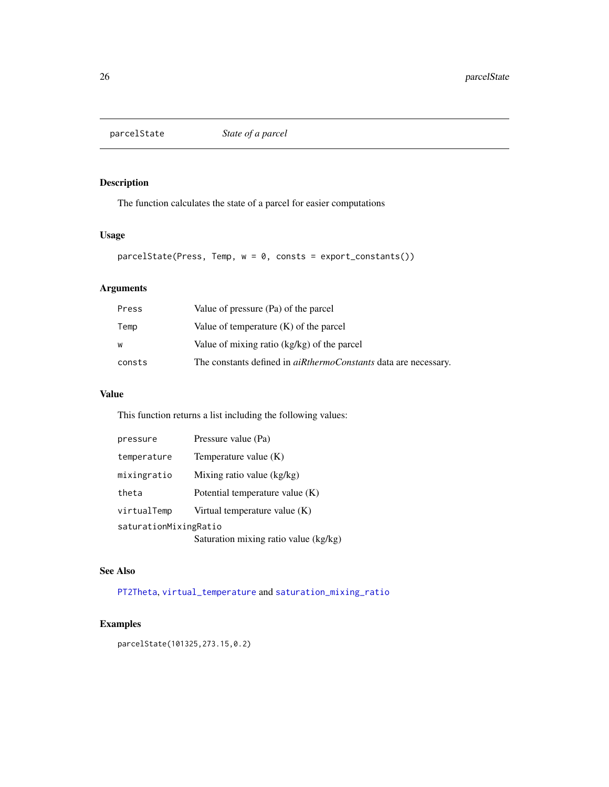<span id="page-25-0"></span>

The function calculates the state of a parcel for easier computations

# Usage

parcelState(Press, Temp, w = 0, consts = export\_constants())

# Arguments

| Press  | Value of pressure (Pa) of the parcel                                   |
|--------|------------------------------------------------------------------------|
| Temp   | Value of temperature $(K)$ of the parcel                               |
| W      | Value of mixing ratio (kg/kg) of the parcel                            |
| consts | The constants defined in <i>aiRthermoConstants</i> data are necessary. |

# Value

This function returns a list including the following values:

| pressure              | Pressure value (Pa)                   |  |
|-----------------------|---------------------------------------|--|
| temperature           | Temperature value $(K)$               |  |
| mixingratio           | Mixing ratio value $(kg/kg)$          |  |
| theta                 | Potential temperature value (K)       |  |
| virtualTemp           | Virtual temperature value $(K)$       |  |
| saturationMixingRatio |                                       |  |
|                       | Saturation mixing ratio value (kg/kg) |  |

# See Also

[PT2Theta](#page-26-1), [virtual\\_temperature](#page-40-2) and [saturation\\_mixing\\_ratio](#page-34-1)

# Examples

parcelState(101325,273.15,0.2)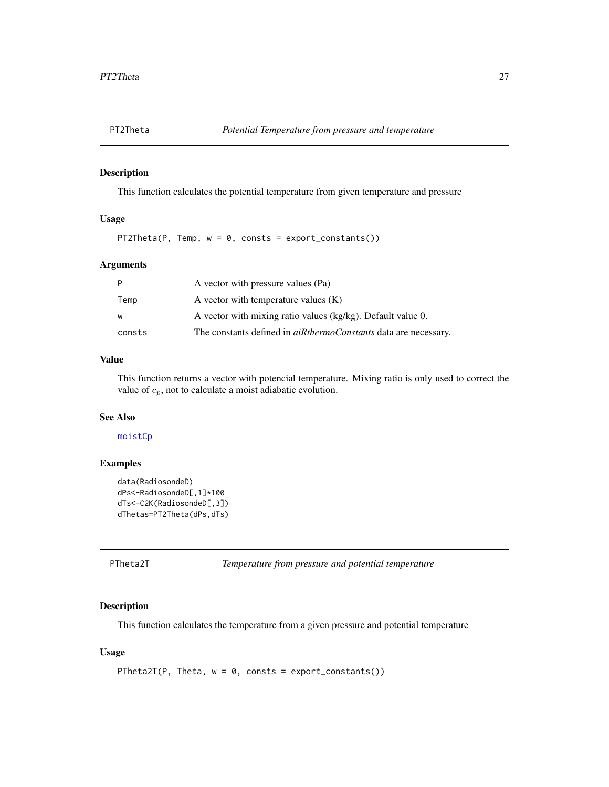<span id="page-26-1"></span><span id="page-26-0"></span>

This function calculates the potential temperature from given temperature and pressure

# Usage

PT2Theta(P, Temp,  $w = 0$ , consts = export\_constants())

#### Arguments

| P      | A vector with pressure values (Pa)                                     |
|--------|------------------------------------------------------------------------|
| Temp   | A vector with temperature values $(K)$                                 |
| W      | A vector with mixing ratio values (kg/kg). Default value 0.            |
| consts | The constants defined in <i>aiRthermoConstants</i> data are necessary. |

# Value

This function returns a vector with potencial temperature. Mixing ratio is only used to correct the value of  $c_p$ , not to calculate a moist adiabatic evolution.

# See Also

# [moistCp](#page-23-1)

#### Examples

```
data(RadiosondeD)
dPs<-RadiosondeD[,1]*100
dTs<-C2K(RadiosondeD[,3])
dThetas=PT2Theta(dPs,dTs)
```
PTheta2T *Temperature from pressure and potential temperature*

# Description

This function calculates the temperature from a given pressure and potential temperature

# Usage

```
PTheta2T(P, Theta, w = 0, consts = export_constants())
```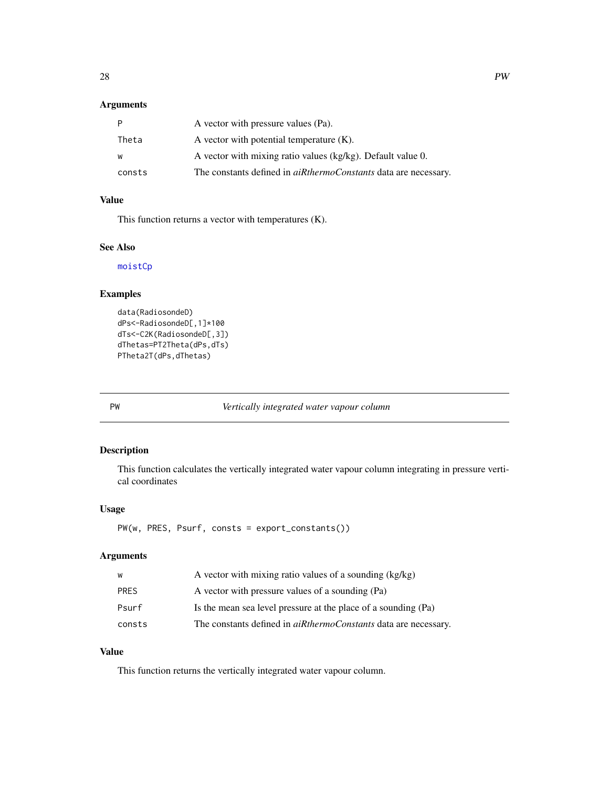# <span id="page-27-0"></span>Arguments

| P      | A vector with pressure values (Pa).                                    |
|--------|------------------------------------------------------------------------|
| Theta  | A vector with potential temperature $(K)$ .                            |
| W      | A vector with mixing ratio values (kg/kg). Default value 0.            |
| consts | The constants defined in <i>aiRthermoConstants</i> data are necessary. |

# Value

This function returns a vector with temperatures (K).

#### See Also

[moistCp](#page-23-1)

# Examples

```
data(RadiosondeD)
dPs<-RadiosondeD[,1]*100
dTs<-C2K(RadiosondeD[,3])
dThetas=PT2Theta(dPs,dTs)
PTheta2T(dPs,dThetas)
```
PW *Vertically integrated water vapour column*

# Description

This function calculates the vertically integrated water vapour column integrating in pressure vertical coordinates

#### Usage

PW(w, PRES, Psurf, consts = export\_constants())

#### Arguments

| W      | A vector with mixing ratio values of a sounding $(kg/kg)$              |
|--------|------------------------------------------------------------------------|
| PRFS   | A vector with pressure values of a sounding (Pa)                       |
| Psurf  | Is the mean sea level pressure at the place of a sounding (Pa)         |
| consts | The constants defined in <i>aiRthermoConstants</i> data are necessary. |

# Value

This function returns the vertically integrated water vapour column.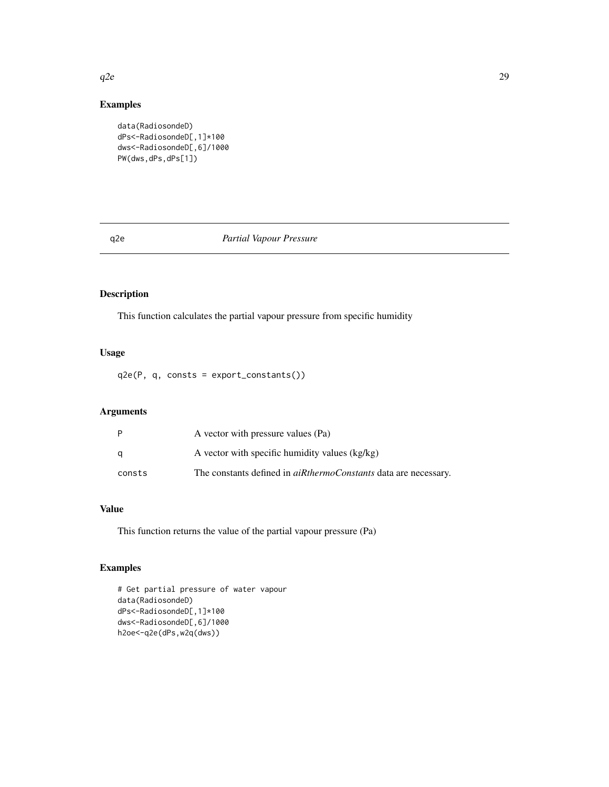#### Examples

```
data(RadiosondeD)
dPs<-RadiosondeD[,1]*100
dws<-RadiosondeD[,6]/1000
PW(dws,dPs,dPs[1])
```
#### <span id="page-28-1"></span>q2e *Partial Vapour Pressure*

# Description

This function calculates the partial vapour pressure from specific humidity

# Usage

q2e(P, q, consts = export\_constants())

#### Arguments

|        | A vector with pressure values (Pa)                                     |
|--------|------------------------------------------------------------------------|
|        | A vector with specific humidity values (kg/kg)                         |
| consts | The constants defined in <i>aiRthermoConstants</i> data are necessary. |

# Value

This function returns the value of the partial vapour pressure (Pa)

# Examples

```
# Get partial pressure of water vapour
data(RadiosondeD)
dPs<-RadiosondeD[,1]*100
dws<-RadiosondeD[,6]/1000
h2oe<-q2e(dPs,w2q(dws))
```
<span id="page-28-0"></span> $q2e$  29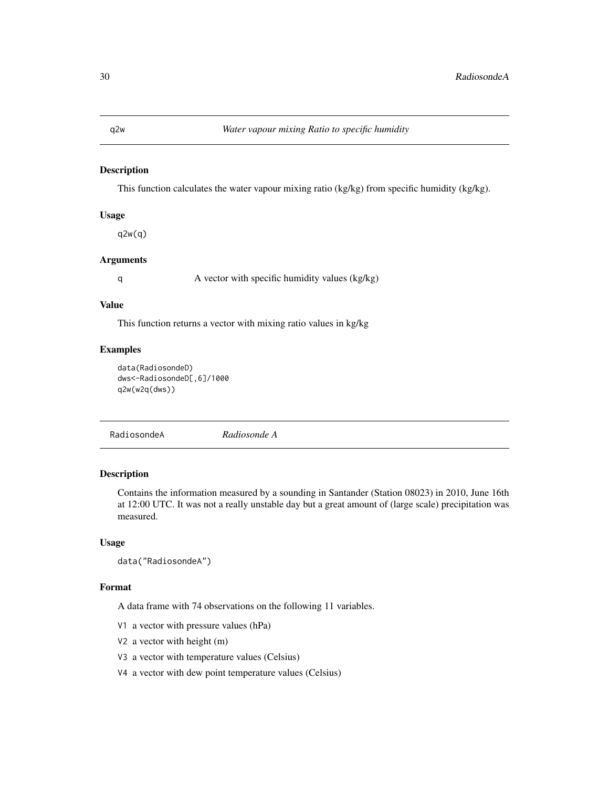This function calculates the water vapour mixing ratio (kg/kg) from specific humidity (kg/kg).

#### Usage

q2w(q)

#### Arguments

q A vector with specific humidity values (kg/kg)

#### Value

This function returns a vector with mixing ratio values in kg/kg

# Examples

```
data(RadiosondeD)
dws<-RadiosondeD[,6]/1000
q2w(w2q(dws))
```
<span id="page-29-1"></span>

|--|

# Description

Contains the information measured by a sounding in Santander (Station 08023) in 2010, June 16th at 12:00 UTC. It was not a really unstable day but a great amount of (large scale) precipitation was measured.

#### Usage

```
data("RadiosondeA")
```
#### Format

A data frame with 74 observations on the following 11 variables.

- V1 a vector with pressure values (hPa)
- V2 a vector with height (m)
- V3 a vector with temperature values (Celsius)
- V4 a vector with dew point temperature values (Celsius)

<span id="page-29-0"></span>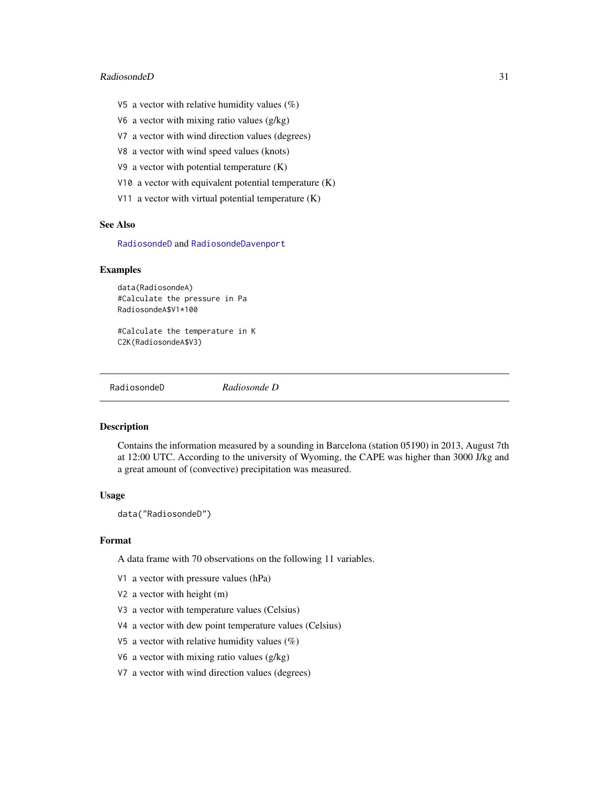#### <span id="page-30-0"></span>RadiosondeD 31

- V5 a vector with relative humidity values  $(\%)$
- V6 a vector with mixing ratio values (g/kg)
- V7 a vector with wind direction values (degrees)
- V8 a vector with wind speed values (knots)
- V9 a vector with potential temperature (K)
- V10 a vector with equivalent potential temperature (K)
- V11 a vector with virtual potential temperature (K)

# See Also

[RadiosondeD](#page-30-1) and [RadiosondeDavenport](#page-31-1)

#### Examples

data(RadiosondeA) #Calculate the pressure in Pa RadiosondeA\$V1\*100

#Calculate the temperature in K C2K(RadiosondeA\$V3)

<span id="page-30-1"></span>RadiosondeD *Radiosonde D*

# **Description**

Contains the information measured by a sounding in Barcelona (station 05190) in 2013, August 7th at 12:00 UTC. According to the university of Wyoming, the CAPE was higher than 3000 J/kg and a great amount of (convective) precipitation was measured.

#### Usage

data("RadiosondeD")

#### Format

A data frame with 70 observations on the following 11 variables.

- V1 a vector with pressure values (hPa)
- V2 a vector with height (m)
- V3 a vector with temperature values (Celsius)
- V4 a vector with dew point temperature values (Celsius)
- V5 a vector with relative humidity values  $(\%)$
- V6 a vector with mixing ratio values (g/kg)
- V7 a vector with wind direction values (degrees)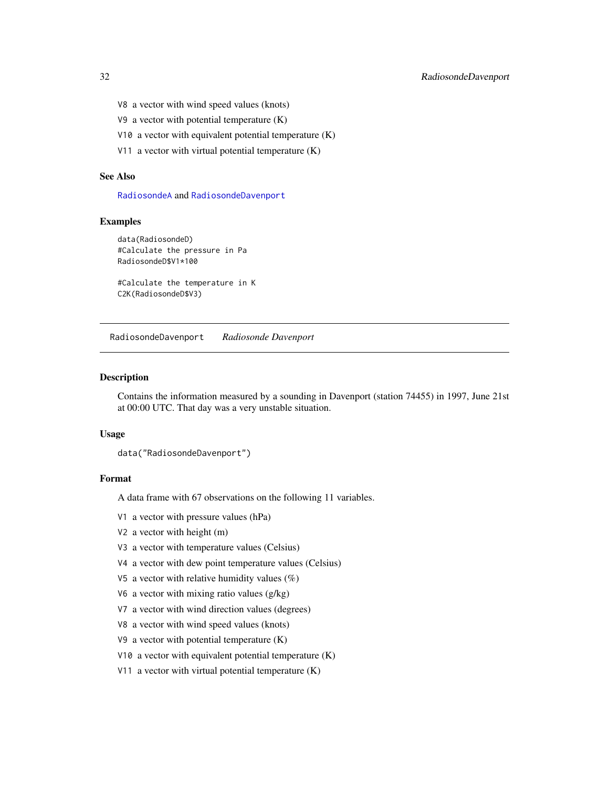- <span id="page-31-0"></span>V8 a vector with wind speed values (knots)
- V9 a vector with potential temperature (K)
- V10 a vector with equivalent potential temperature (K)
- V11 a vector with virtual potential temperature (K)

# See Also

[RadiosondeA](#page-29-1) and [RadiosondeDavenport](#page-31-1)

#### Examples

```
data(RadiosondeD)
#Calculate the pressure in Pa
RadiosondeD$V1*100
```
#Calculate the temperature in K C2K(RadiosondeD\$V3)

<span id="page-31-1"></span>RadiosondeDavenport *Radiosonde Davenport*

#### Description

Contains the information measured by a sounding in Davenport (station 74455) in 1997, June 21st at 00:00 UTC. That day was a very unstable situation.

#### Usage

data("RadiosondeDavenport")

#### Format

A data frame with 67 observations on the following 11 variables.

V1 a vector with pressure values (hPa)

- V2 a vector with height (m)
- V3 a vector with temperature values (Celsius)
- V4 a vector with dew point temperature values (Celsius)
- V5 a vector with relative humidity values  $(\%)$
- V6 a vector with mixing ratio values (g/kg)
- V7 a vector with wind direction values (degrees)
- V8 a vector with wind speed values (knots)
- V9 a vector with potential temperature (K)
- V10 a vector with equivalent potential temperature (K)
- V11 a vector with virtual potential temperature (K)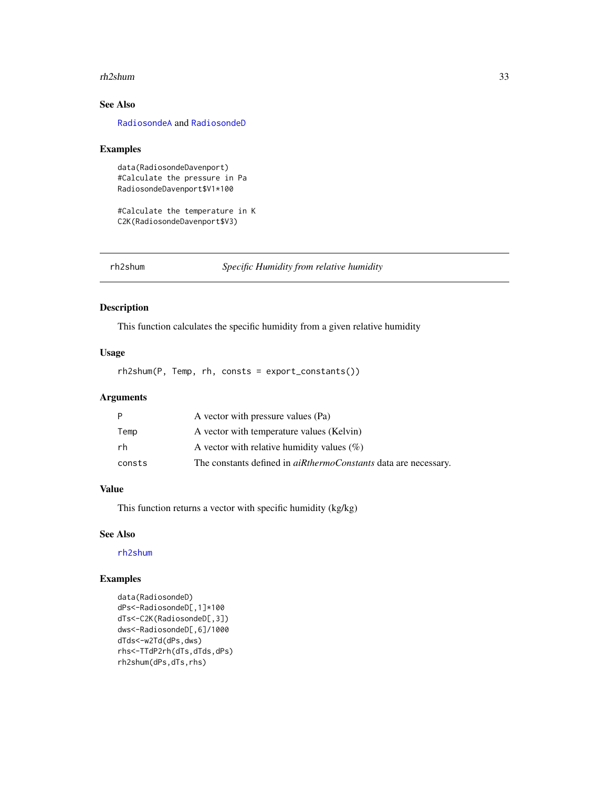#### <span id="page-32-0"></span>rh2shum 33

# See Also

[RadiosondeA](#page-29-1) and [RadiosondeD](#page-30-1)

#### Examples

```
data(RadiosondeDavenport)
#Calculate the pressure in Pa
RadiosondeDavenport$V1*100
```
#Calculate the temperature in K C2K(RadiosondeDavenport\$V3)

<span id="page-32-1"></span>rh2shum *Specific Humidity from relative humidity*

#### Description

This function calculates the specific humidity from a given relative humidity

#### Usage

rh2shum(P, Temp, rh, consts = export\_constants())

#### Arguments

| P      | A vector with pressure values (Pa)                                     |
|--------|------------------------------------------------------------------------|
| Temp   | A vector with temperature values (Kelvin)                              |
| rh     | A vector with relative humidity values $(\%)$                          |
| consts | The constants defined in <i>aiRthermoConstants</i> data are necessary. |

# Value

This function returns a vector with specific humidity (kg/kg)

#### See Also

[rh2shum](#page-32-1)

# Examples

```
data(RadiosondeD)
dPs<-RadiosondeD[,1]*100
dTs<-C2K(RadiosondeD[,3])
dws<-RadiosondeD[,6]/1000
dTds<-w2Td(dPs,dws)
rhs<-TTdP2rh(dTs,dTds,dPs)
rh2shum(dPs,dTs,rhs)
```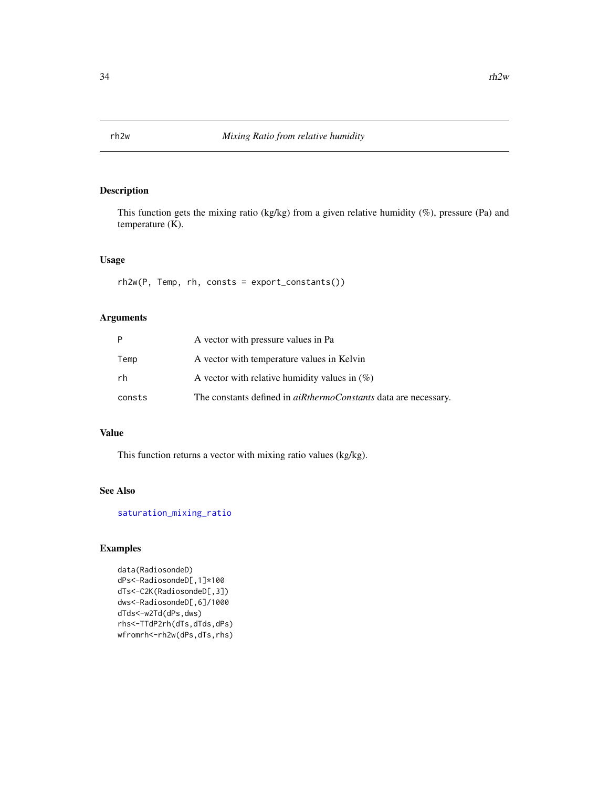<span id="page-33-0"></span>

This function gets the mixing ratio (kg/kg) from a given relative humidity (%), pressure (Pa) and temperature (K).

# Usage

rh2w(P, Temp, rh, consts = export\_constants())

# Arguments

| Þ      | A vector with pressure values in Pa                                    |
|--------|------------------------------------------------------------------------|
| Temp   | A vector with temperature values in Kelvin                             |
| rh     | A vector with relative humidity values in $(\%)$                       |
| consts | The constants defined in <i>aiRthermoConstants</i> data are necessary. |

#### Value

This function returns a vector with mixing ratio values (kg/kg).

#### See Also

[saturation\\_mixing\\_ratio](#page-34-1)

# Examples

data(RadiosondeD) dPs<-RadiosondeD[,1]\*100 dTs<-C2K(RadiosondeD[,3]) dws<-RadiosondeD[,6]/1000 dTds<-w2Td(dPs,dws) rhs<-TTdP2rh(dTs,dTds,dPs) wfromrh<-rh2w(dPs,dTs,rhs)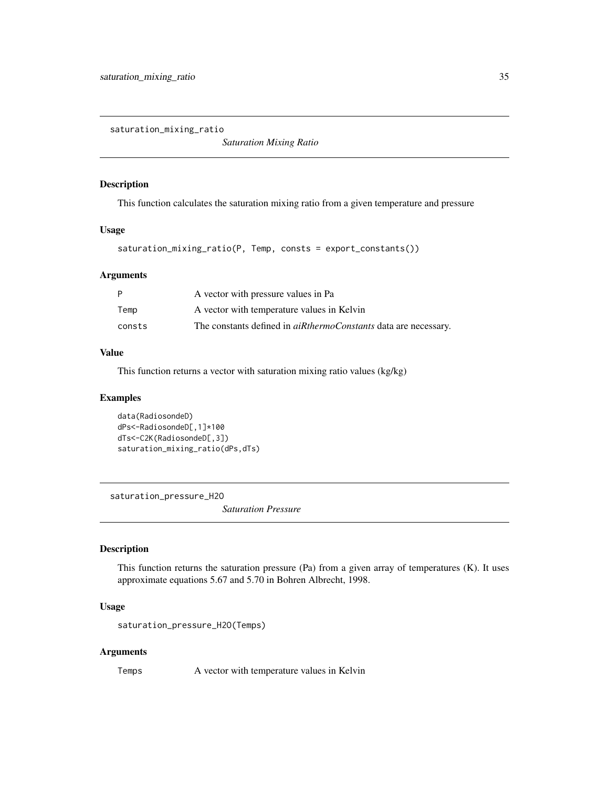<span id="page-34-1"></span><span id="page-34-0"></span>saturation\_mixing\_ratio

*Saturation Mixing Ratio*

#### Description

This function calculates the saturation mixing ratio from a given temperature and pressure

#### Usage

```
saturation_mixing_ratio(P, Temp, consts = export_constants())
```
#### Arguments

| P      | A vector with pressure values in Pa                                    |
|--------|------------------------------------------------------------------------|
| Temp   | A vector with temperature values in Kelvin                             |
| consts | The constants defined in <i>aiRthermoConstants</i> data are necessary. |

## Value

This function returns a vector with saturation mixing ratio values (kg/kg)

#### Examples

```
data(RadiosondeD)
dPs<-RadiosondeD[,1]*100
dTs<-C2K(RadiosondeD[,3])
saturation_mixing_ratio(dPs,dTs)
```
<span id="page-34-2"></span>saturation\_pressure\_H2O

*Saturation Pressure*

## Description

This function returns the saturation pressure (Pa) from a given array of temperatures (K). It uses approximate equations 5.67 and 5.70 in Bohren Albrecht, 1998.

# Usage

```
saturation_pressure_H2O(Temps)
```
#### Arguments

Temps A vector with temperature values in Kelvin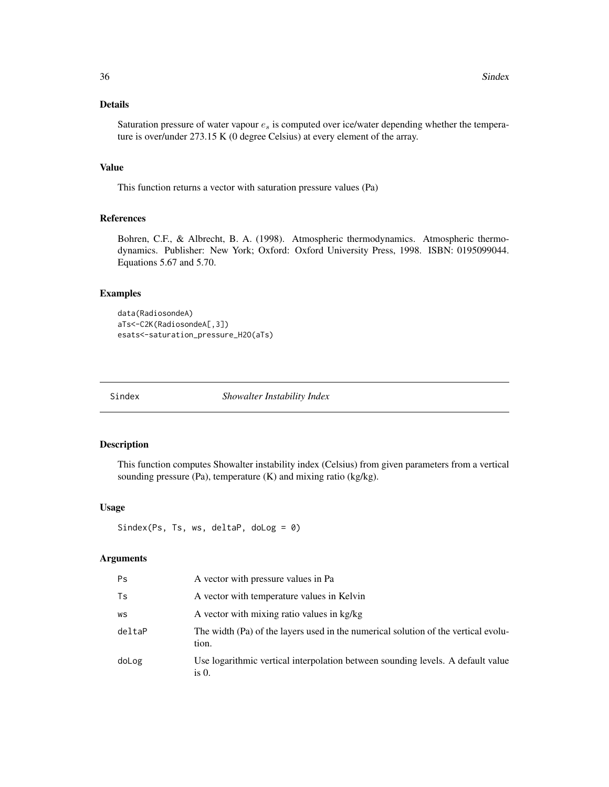# <span id="page-35-0"></span>Details

Saturation pressure of water vapour  $e_s$  is computed over ice/water depending whether the temperature is over/under 273.15 K (0 degree Celsius) at every element of the array.

#### Value

This function returns a vector with saturation pressure values (Pa)

# References

Bohren, C.F., & Albrecht, B. A. (1998). Atmospheric thermodynamics. Atmospheric thermodynamics. Publisher: New York; Oxford: Oxford University Press, 1998. ISBN: 0195099044. Equations 5.67 and 5.70.

#### Examples

```
data(RadiosondeA)
aTs<-C2K(RadiosondeA[,3])
esats<-saturation_pressure_H2O(aTs)
```
Sindex *Showalter Instability Index*

#### Description

This function computes Showalter instability index (Celsius) from given parameters from a vertical sounding pressure (Pa), temperature (K) and mixing ratio (kg/kg).

# Usage

```
Sindex(Ps, Ts, ws, deltaP, doLog = 0)
```
#### Arguments

| Ps.    | A vector with pressure values in Pa                                                         |
|--------|---------------------------------------------------------------------------------------------|
| Ts     | A vector with temperature values in Kelvin                                                  |
| WS     | A vector with mixing ratio values in kg/kg                                                  |
| deltaP | The width (Pa) of the layers used in the numerical solution of the vertical evolu-<br>tion. |
| doLog  | Use logarithmic vertical interpolation between sounding levels. A default value<br>is $0$ . |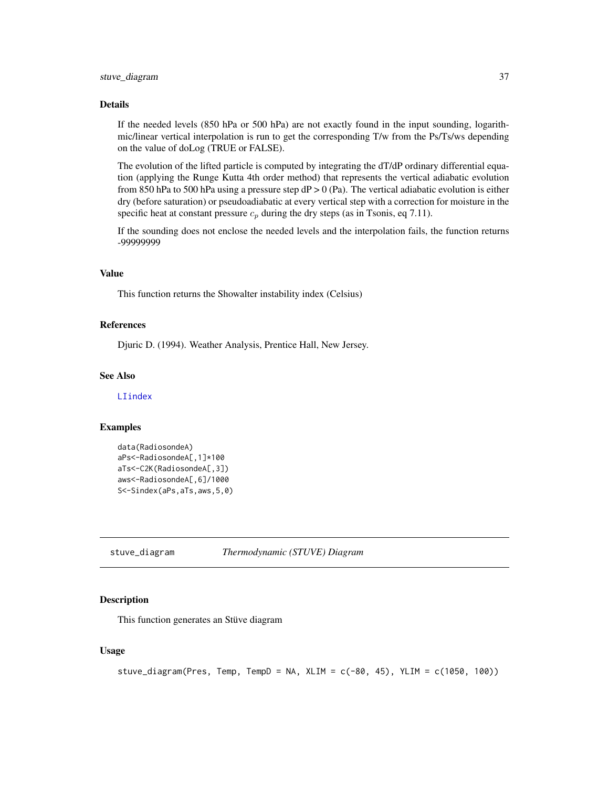#### <span id="page-36-0"></span>Details

If the needed levels (850 hPa or 500 hPa) are not exactly found in the input sounding, logarithmic/linear vertical interpolation is run to get the corresponding T/w from the Ps/Ts/ws depending on the value of doLog (TRUE or FALSE).

The evolution of the lifted particle is computed by integrating the dT/dP ordinary differential equation (applying the Runge Kutta 4th order method) that represents the vertical adiabatic evolution from 850 hPa to 500 hPa using a pressure step  $dP > 0$  (Pa). The vertical adiabatic evolution is either dry (before saturation) or pseudoadiabatic at every vertical step with a correction for moisture in the specific heat at constant pressure  $c_p$  during the dry steps (as in Tsonis, eq 7.11).

If the sounding does not enclose the needed levels and the interpolation fails, the function returns -99999999

# Value

This function returns the Showalter instability index (Celsius)

#### References

Djuric D. (1994). Weather Analysis, Prentice Hall, New Jersey.

### See Also

[LIindex](#page-21-1)

#### Examples

```
data(RadiosondeA)
aPs<-RadiosondeA[,1]*100
aTs<-C2K(RadiosondeA[,3])
aws<-RadiosondeA[,6]/1000
S<-Sindex(aPs,aTs,aws,5,0)
```
<span id="page-36-1"></span>stuve\_diagram *Thermodynamic (STUVE) Diagram*

#### Description

This function generates an Stüve diagram

#### Usage

```
stuve_diagram(Pres, Temp, TempD = NA, XLIM = c(-80, 45), YLIM = c(1050, 100))
```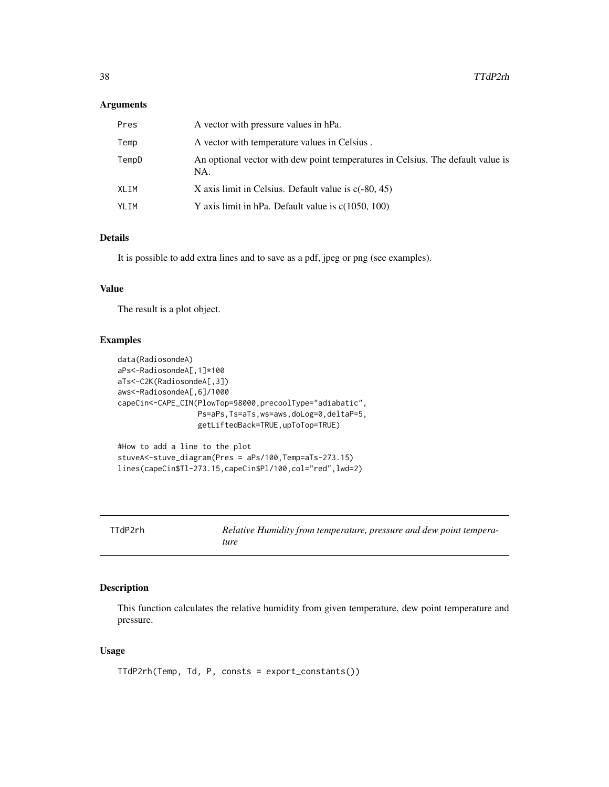# <span id="page-37-0"></span>Arguments

| Pres  | A vector with pressure values in hPa.                                                  |
|-------|----------------------------------------------------------------------------------------|
| Temp  | A vector with temperature values in Celsius.                                           |
| TempD | An optional vector with dew point temperatures in Celsius. The default value is<br>NA. |
| XLIM  | X axis limit in Celsius. Default value is $c(-80, 45)$                                 |
| YLIM  | Y axis limit in hPa. Default value is $c(1050, 100)$                                   |

# Details

It is possible to add extra lines and to save as a pdf, jpeg or png (see examples).

#### Value

The result is a plot object.

# Examples

```
data(RadiosondeA)
aPs<-RadiosondeA[,1]*100
aTs<-C2K(RadiosondeA[,3])
aws<-RadiosondeA[,6]/1000
capeCin<-CAPE_CIN(PlowTop=98000,precoolType="adiabatic",
                  Ps=aPs,Ts=aTs,ws=aws,doLog=0,deltaP=5,
                  getLiftedBack=TRUE,upToTop=TRUE)
#How to add a line to the plot
```

```
stuveA<-stuve_diagram(Pres = aPs/100,Temp=aTs-273.15)
lines(capeCin$Tl-273.15,capeCin$Pl/100,col="red",lwd=2)
```

| TTdP2rh | Relative Humidity from temperature, pressure and dew point tempera- |
|---------|---------------------------------------------------------------------|
|         | ture                                                                |

# Description

This function calculates the relative humidity from given temperature, dew point temperature and pressure.

# Usage

```
TTdP2rh(Temp, Td, P, consts = export_constants())
```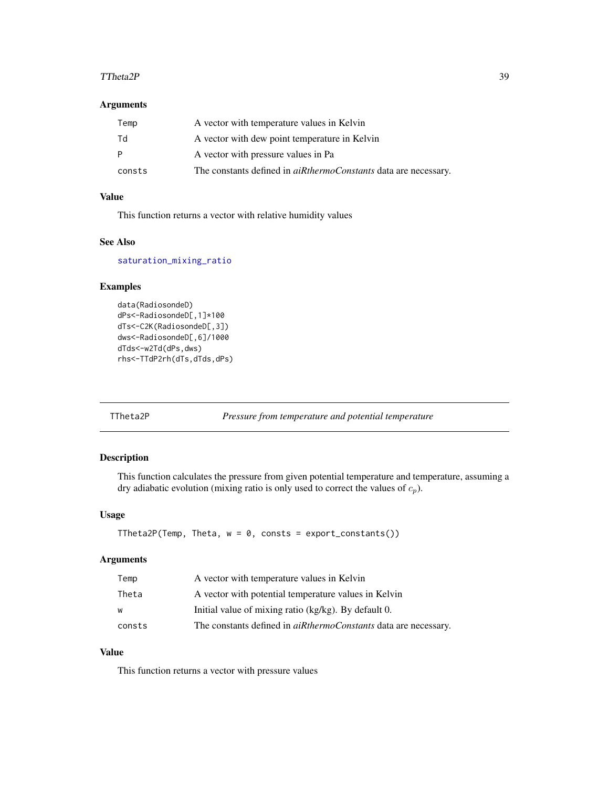#### <span id="page-38-0"></span> $T$ Theta $2P$  39

# Arguments

| Temp   | A vector with temperature values in Kelvin                             |
|--------|------------------------------------------------------------------------|
| Td     | A vector with dew point temperature in Kelvin                          |
| P      | A vector with pressure values in Pa                                    |
| consts | The constants defined in <i>aiRthermoConstants</i> data are necessary. |

#### Value

This function returns a vector with relative humidity values

# See Also

[saturation\\_mixing\\_ratio](#page-34-1)

# Examples

```
data(RadiosondeD)
dPs<-RadiosondeD[,1]*100
dTs<-C2K(RadiosondeD[,3])
dws<-RadiosondeD[,6]/1000
dTds<-w2Td(dPs,dws)
rhs<-TTdP2rh(dTs,dTds,dPs)
```
TTheta2P *Pressure from temperature and potential temperature*

# Description

This function calculates the pressure from given potential temperature and temperature, assuming a dry adiabatic evolution (mixing ratio is only used to correct the values of  $c_p$ ).

# Usage

```
TTheta2P(Temp, Theta, w = 0, consts = export_constants())
```
#### Arguments

| Temp   | A vector with temperature values in Kelvin                             |
|--------|------------------------------------------------------------------------|
| Theta  | A vector with potential temperature values in Kelvin                   |
| W      | Initial value of mixing ratio (kg/kg). By default 0.                   |
| consts | The constants defined in <i>aiRthermoConstants</i> data are necessary. |

# Value

This function returns a vector with pressure values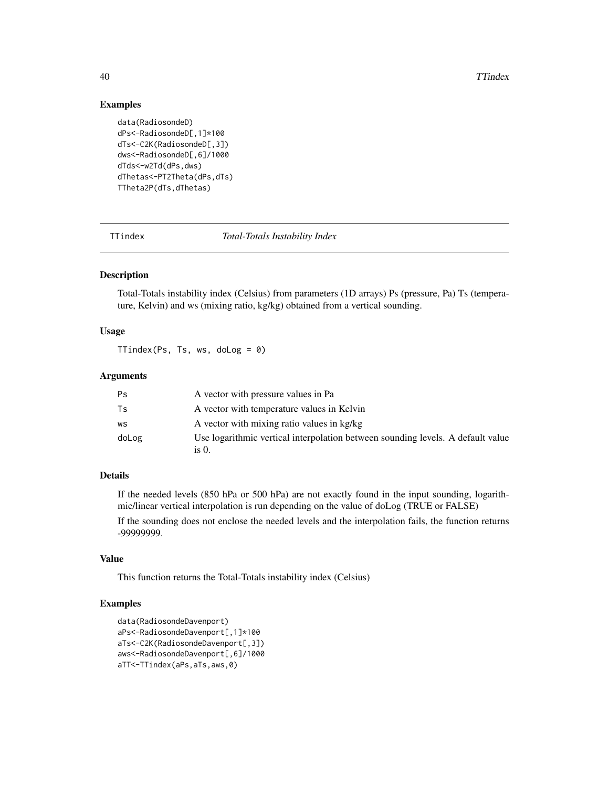40 TTindex

#### Examples

```
data(RadiosondeD)
dPs<-RadiosondeD[,1]*100
dTs<-C2K(RadiosondeD[,3])
dws<-RadiosondeD[,6]/1000
dTds<-w2Td(dPs,dws)
dThetas<-PT2Theta(dPs,dTs)
TTheta2P(dTs,dThetas)
```
TTindex *Total-Totals Instability Index*

#### Description

Total-Totals instability index (Celsius) from parameters (1D arrays) Ps (pressure, Pa) Ts (temperature, Kelvin) and ws (mixing ratio, kg/kg) obtained from a vertical sounding.

# Usage

TTindex(Ps, Ts, ws, doLog = 0)

### Arguments

| Ps    | A vector with pressure values in Pa                                                      |
|-------|------------------------------------------------------------------------------------------|
| Ts    | A vector with temperature values in Kelvin                                               |
| WS    | A vector with mixing ratio values in kg/kg                                               |
| doLog | Use logarithmic vertical interpolation between sounding levels. A default value<br>is 0. |

# Details

If the needed levels (850 hPa or 500 hPa) are not exactly found in the input sounding, logarithmic/linear vertical interpolation is run depending on the value of doLog (TRUE or FALSE)

If the sounding does not enclose the needed levels and the interpolation fails, the function returns -99999999.

#### Value

This function returns the Total-Totals instability index (Celsius)

#### Examples

```
data(RadiosondeDavenport)
aPs<-RadiosondeDavenport[,1]*100
aTs<-C2K(RadiosondeDavenport[,3])
aws<-RadiosondeDavenport[,6]/1000
aTT<-TTindex(aPs,aTs,aws,0)
```
<span id="page-39-0"></span>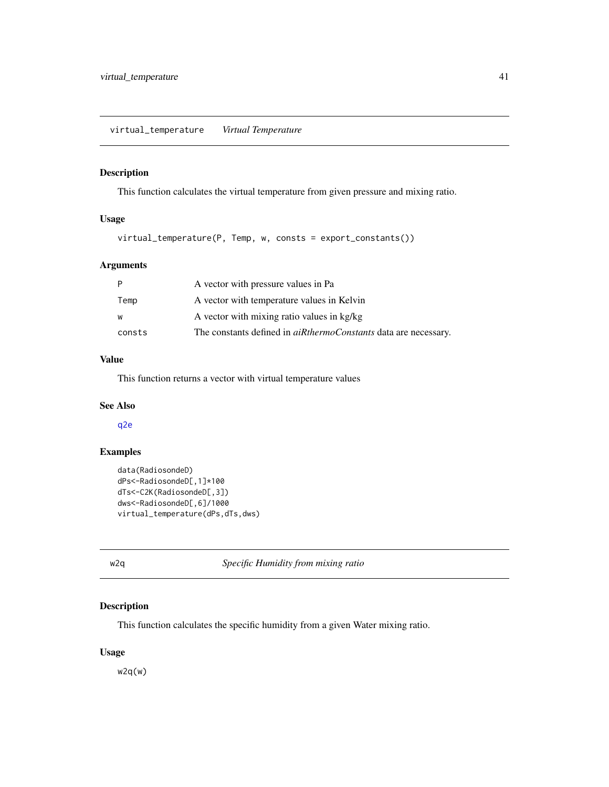<span id="page-40-2"></span><span id="page-40-0"></span>This function calculates the virtual temperature from given pressure and mixing ratio.

# Usage

virtual\_temperature(P, Temp, w, consts = export\_constants())

# Arguments

|        | A vector with pressure values in Pa                                    |
|--------|------------------------------------------------------------------------|
| Temp   | A vector with temperature values in Kelvin                             |
| W      | A vector with mixing ratio values in kg/kg                             |
| consts | The constants defined in <i>aiRthermoConstants</i> data are necessary. |

# Value

This function returns a vector with virtual temperature values

# See Also

[q2e](#page-28-1)

# Examples

```
data(RadiosondeD)
dPs<-RadiosondeD[,1]*100
dTs<-C2K(RadiosondeD[,3])
dws<-RadiosondeD[,6]/1000
virtual_temperature(dPs,dTs,dws)
```
<span id="page-40-1"></span>w2q *Specific Humidity from mixing ratio*

# Description

This function calculates the specific humidity from a given Water mixing ratio.

# Usage

w2q(w)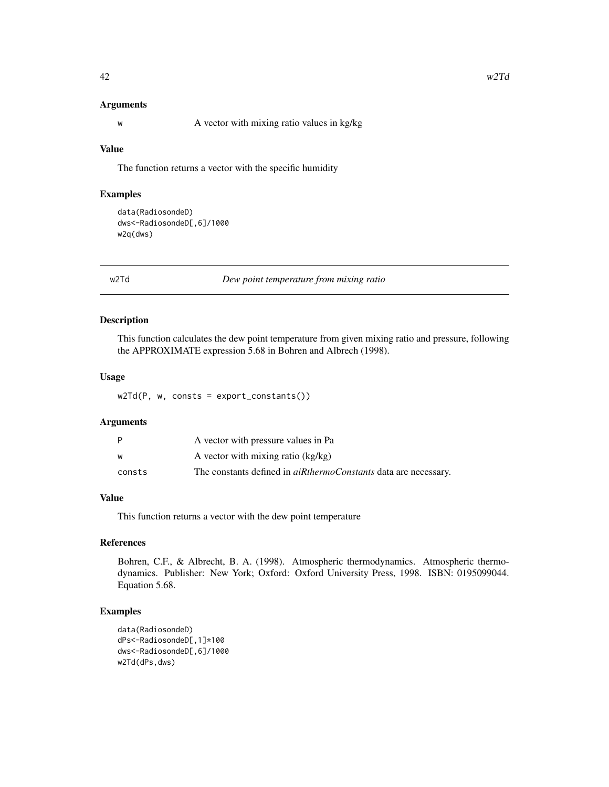#### <span id="page-41-0"></span>Arguments

w A vector with mixing ratio values in kg/kg

#### Value

The function returns a vector with the specific humidity

# Examples

```
data(RadiosondeD)
dws<-RadiosondeD[,6]/1000
w2q(dws)
```
w2Td *Dew point temperature from mixing ratio*

#### Description

This function calculates the dew point temperature from given mixing ratio and pressure, following the APPROXIMATE expression 5.68 in Bohren and Albrech (1998).

#### Usage

w2Td(P, w, consts = export\_constants())

#### Arguments

| P      | A vector with pressure values in Pa                                    |
|--------|------------------------------------------------------------------------|
| w      | A vector with mixing ratio (kg/kg)                                     |
| consts | The constants defined in <i>aiRthermoConstants</i> data are necessary. |

### Value

This function returns a vector with the dew point temperature

#### References

Bohren, C.F., & Albrecht, B. A. (1998). Atmospheric thermodynamics. Atmospheric thermodynamics. Publisher: New York; Oxford: Oxford University Press, 1998. ISBN: 0195099044. Equation 5.68.

# Examples

```
data(RadiosondeD)
dPs<-RadiosondeD[,1]*100
dws<-RadiosondeD[,6]/1000
w2Td(dPs,dws)
```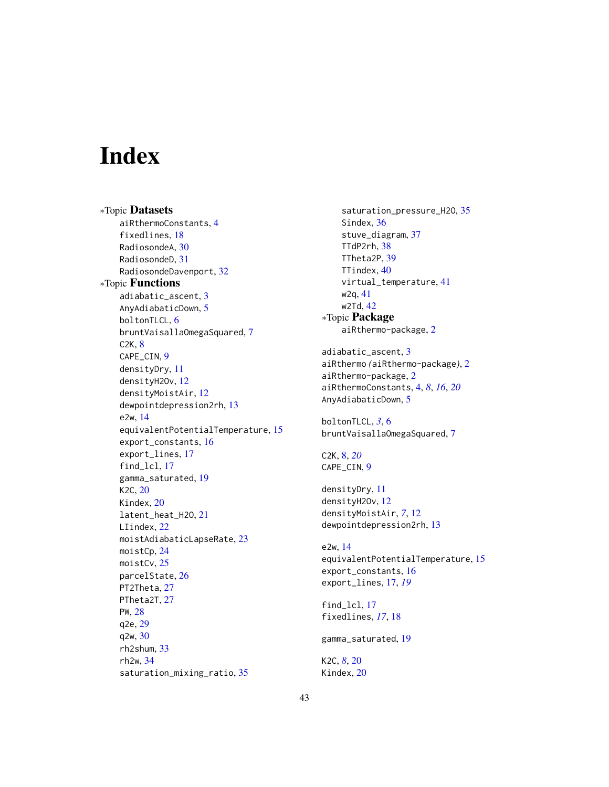# <span id="page-42-0"></span>Index

∗Topic Datasets aiRthermoConstants, [4](#page-3-0) fixedlines, [18](#page-17-0) RadiosondeA, [30](#page-29-0) RadiosondeD, [31](#page-30-0) RadiosondeDavenport, [32](#page-31-0) ∗Topic Functions adiabatic\_ascent, [3](#page-2-0) AnyAdiabaticDown, [5](#page-4-0) boltonTLCL, [6](#page-5-0) bruntVaisallaOmegaSquared, [7](#page-6-0) C2K, [8](#page-7-0) CAPE CIN. [9](#page-8-0) densityDry, [11](#page-10-0) densityH2Ov, [12](#page-11-0) densityMoistAir, [12](#page-11-0) dewpointdepression2rh, [13](#page-12-0) e2w, [14](#page-13-0) equivalentPotentialTemperature, [15](#page-14-0) export\_constants, [16](#page-15-0) export\_lines, [17](#page-16-0) find\_lcl, [17](#page-16-0) gamma\_saturated, [19](#page-18-0) K2C, [20](#page-19-0) Kindex, [20](#page-19-0) latent\_heat\_H2O, [21](#page-20-0) LIindex, [22](#page-21-0) moistAdiabaticLapseRate, [23](#page-22-0) moistCp, [24](#page-23-0) moistCv, [25](#page-24-0) parcelState, [26](#page-25-0) PT2Theta, [27](#page-26-0) PTheta2T, [27](#page-26-0) PW, [28](#page-27-0) q2e, [29](#page-28-0) q2w, [30](#page-29-0) rh2shum, [33](#page-32-0) rh2w, [34](#page-33-0) saturation\_mixing\_ratio, [35](#page-34-0)

saturation\_pressure\_H2O, [35](#page-34-0) Sindex, [36](#page-35-0) stuve\_diagram, [37](#page-36-0) TTdP2rh, [38](#page-37-0) TTheta2P, [39](#page-38-0) TTindex, [40](#page-39-0) virtual\_temperature, [41](#page-40-0) w2q, [41](#page-40-0) w2Td, [42](#page-41-0) ∗Topic Package aiRthermo-package, [2](#page-1-0) adiabatic\_ascent, [3](#page-2-0) aiRthermo *(*aiRthermo-package*)*, [2](#page-1-0) aiRthermo-package, [2](#page-1-0) aiRthermoConstants, [4,](#page-3-0) *[8](#page-7-0)*, *[16](#page-15-0)*, *[20](#page-19-0)* AnyAdiabaticDown, [5](#page-4-0) boltonTLCL, *[3](#page-2-0)*, [6](#page-5-0) bruntVaisallaOmegaSquared, [7](#page-6-0) C2K, [8,](#page-7-0) *[20](#page-19-0)* CAPE\_CIN, [9](#page-8-0) densityDry, [11](#page-10-0) densityH2Ov, [12](#page-11-0) densityMoistAir, *[7](#page-6-0)*, [12](#page-11-0) dewpointdepression2rh, [13](#page-12-0) e2w, [14](#page-13-0) equivalentPotentialTemperature, [15](#page-14-0) export\_constants, [16](#page-15-0) export\_lines, [17,](#page-16-0) *[19](#page-18-0)* find\_lcl, [17](#page-16-0) fixedlines, *[17](#page-16-0)*, [18](#page-17-0) gamma\_saturated, [19](#page-18-0) K2C, *[8](#page-7-0)*, [20](#page-19-0) Kindex, [20](#page-19-0)